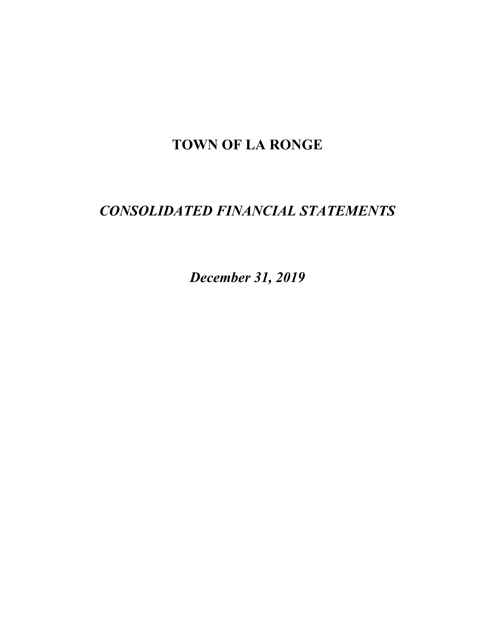# **TOWN OF LA RONGE**

# *CONSOLIDATED FINANCIAL STATEMENTS*

*December 31, 2019*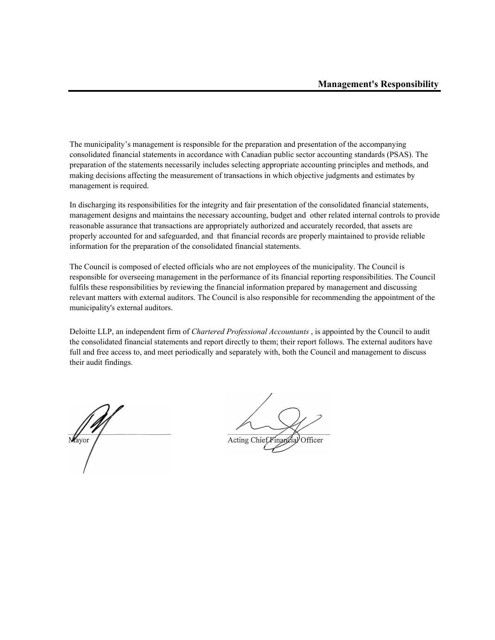The municipality's management is responsible for the preparation and presentation of the accompanying consolidated financial statements in accordance with Canadian public sector accounting standards (PSAS). The preparation of the statements necessarily includes selecting appropriate accounting principles and methods, and making decisions affecting the measurement of transactions in which objective judgments and estimates by management is required.

In discharging its responsibilities for the integrity and fair presentation of the consolidated financial statements, management designs and maintains the necessary accounting, budget and other related internal controls to provide reasonable assurance that transactions are appropriately authorized and accurately recorded, that assets are properly accounted for and safeguarded, and that financial records are properly maintained to provide reliable information for the preparation of the consolidated financial statements.

The Council is composed of elected officials who are not employees of the municipality. The Council is responsible for overseeing management in the performance of its financial reporting responsibilities. The Council fulfils these responsibilities by reviewing the financial information prepared by management and discussing relevant matters with external auditors. The Council is also responsible for recommending the appointment of the municipality's external auditors.

Deloitte LLP, an independent firm of *Chartered Professional Accountants* , is appointed by the Council to audit the consolidated financial statements and report directly to them; their report follows. The external auditors have full and free access to, and meet periodically and separately with, both the Council and management to discuss their audit findings.

 $\frac{1}{\sqrt{1-\frac{1}{2}}}$ 

Acting Chief Finance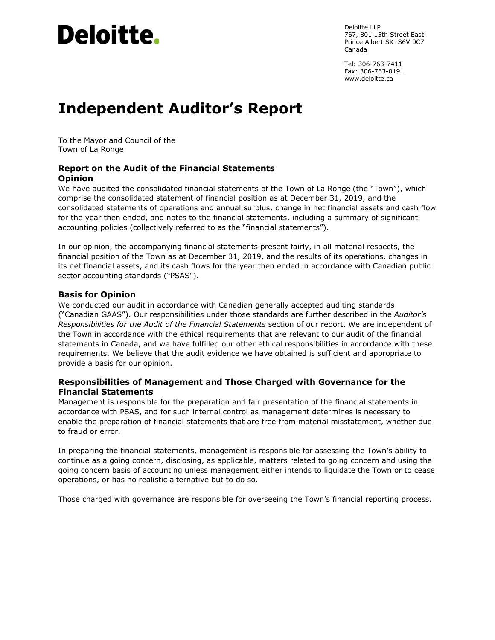# Deloitte.

Deloitte LLP 767, 801 15th Street East Prince Albert SK S6V 0C7 Canada

Tel: 306-763-7411 Fax: 306-763-0191 www.deloitte.ca

# **Independent Auditor's Report**

To the Mayor and Council of the Town of La Ronge

# **Report on the Audit of the Financial Statements Opinion**

We have audited the consolidated financial statements of the Town of La Ronge (the "Town"), which comprise the consolidated statement of financial position as at December 31, 2019, and the consolidated statements of operations and annual surplus, change in net financial assets and cash flow for the year then ended, and notes to the financial statements, including a summary of significant accounting policies (collectively referred to as the "financial statements").

In our opinion, the accompanying financial statements present fairly, in all material respects, the financial position of the Town as at December 31, 2019, and the results of its operations, changes in its net financial assets, and its cash flows for the year then ended in accordance with Canadian public sector accounting standards ("PSAS").

# **Basis for Opinion**

We conducted our audit in accordance with Canadian generally accepted auditing standards ("Canadian GAAS"). Our responsibilities under those standards are further described in the *Auditor's Responsibilities for the Audit of the Financial Statements* section of our report. We are independent of the Town in accordance with the ethical requirements that are relevant to our audit of the financial statements in Canada, and we have fulfilled our other ethical responsibilities in accordance with these requirements. We believe that the audit evidence we have obtained is sufficient and appropriate to provide a basis for our opinion.

# **Responsibilities of Management and Those Charged with Governance for the Financial Statements**

Management is responsible for the preparation and fair presentation of the financial statements in accordance with PSAS, and for such internal control as management determines is necessary to enable the preparation of financial statements that are free from material misstatement, whether due to fraud or error.

In preparing the financial statements, management is responsible for assessing the Town's ability to continue as a going concern, disclosing, as applicable, matters related to going concern and using the going concern basis of accounting unless management either intends to liquidate the Town or to cease operations, or has no realistic alternative but to do so.

Those charged with governance are responsible for overseeing the Town's financial reporting process.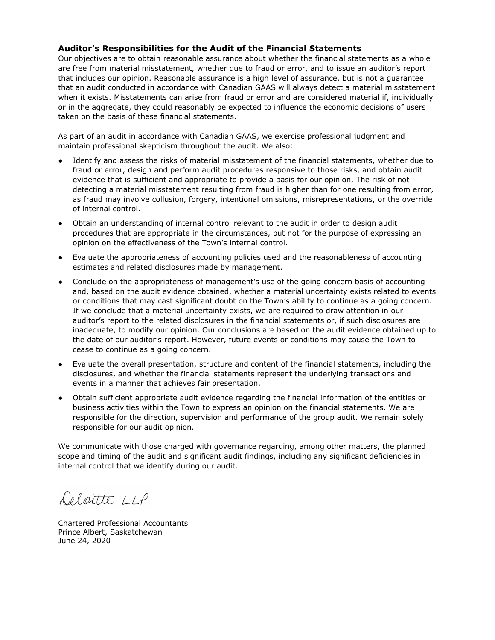# **Auditor's Responsibilities for the Audit of the Financial Statements**

Our objectives are to obtain reasonable assurance about whether the financial statements as a whole are free from material misstatement, whether due to fraud or error, and to issue an auditor's report that includes our opinion. Reasonable assurance is a high level of assurance, but is not a guarantee that an audit conducted in accordance with Canadian GAAS will always detect a material misstatement when it exists. Misstatements can arise from fraud or error and are considered material if, individually or in the aggregate, they could reasonably be expected to influence the economic decisions of users taken on the basis of these financial statements.

As part of an audit in accordance with Canadian GAAS, we exercise professional judgment and maintain professional skepticism throughout the audit. We also:

- Identify and assess the risks of material misstatement of the financial statements, whether due to fraud or error, design and perform audit procedures responsive to those risks, and obtain audit evidence that is sufficient and appropriate to provide a basis for our opinion. The risk of not detecting a material misstatement resulting from fraud is higher than for one resulting from error, as fraud may involve collusion, forgery, intentional omissions, misrepresentations, or the override of internal control.
- Obtain an understanding of internal control relevant to the audit in order to design audit procedures that are appropriate in the circumstances, but not for the purpose of expressing an opinion on the effectiveness of the Town's internal control.
- Evaluate the appropriateness of accounting policies used and the reasonableness of accounting estimates and related disclosures made by management.
- Conclude on the appropriateness of management's use of the going concern basis of accounting and, based on the audit evidence obtained, whether a material uncertainty exists related to events or conditions that may cast significant doubt on the Town's ability to continue as a going concern. If we conclude that a material uncertainty exists, we are required to draw attention in our auditor's report to the related disclosures in the financial statements or, if such disclosures are inadequate, to modify our opinion. Our conclusions are based on the audit evidence obtained up to the date of our auditor's report. However, future events or conditions may cause the Town to cease to continue as a going concern.
- Evaluate the overall presentation, structure and content of the financial statements, including the disclosures, and whether the financial statements represent the underlying transactions and events in a manner that achieves fair presentation.
- Obtain sufficient appropriate audit evidence regarding the financial information of the entities or business activities within the Town to express an opinion on the financial statements. We are responsible for the direction, supervision and performance of the group audit. We remain solely responsible for our audit opinion.

We communicate with those charged with governance regarding, among other matters, the planned scope and timing of the audit and significant audit findings, including any significant deficiencies in internal control that we identify during our audit.

Deloitte LLP

Chartered Professional Accountants Prince Albert, Saskatchewan June 24, 2020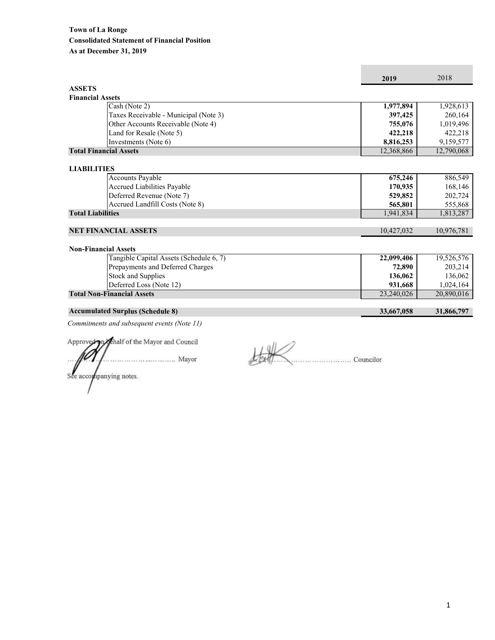|                                             | 2019       | 2018       |
|---------------------------------------------|------------|------------|
| <b>ASSETS</b>                               |            |            |
| <b>Financial Assets</b>                     |            |            |
| Cash (Note 2)                               | 1,977,894  | 1,928,613  |
| Taxes Receivable - Municipal (Note 3)       | 397,425    | 260,164    |
| Other Accounts Receivable (Note 4)          | 755,076    | 1,019,496  |
| Land for Resale (Note 5)                    | 422,218    | 422,218    |
| Investments (Note 6)                        | 8,816,253  | 9,159,577  |
| <b>Total Financial Assets</b>               | 12,368,866 | 12,790,068 |
|                                             |            |            |
| <b>LIABILITIES</b>                          |            |            |
| <b>Accounts Payable</b>                     | 675,246    | 886,549    |
| Accrued Liabilities Payable                 | 170,935    | 168,146    |
| Deferred Revenue (Note 7)                   | 529,852    | 202,724    |
| Accrued Landfill Costs (Note 8)             | 565,801    | 555,868    |
| <b>Total Liabilities</b>                    | 1,941,834  | 1,813,287  |
|                                             |            |            |
| <b>NET FINANCIAL ASSETS</b>                 | 10,427,032 | 10,976,781 |
|                                             |            |            |
| <b>Non-Financial Assets</b>                 |            |            |
| Tangible Capital Assets (Schedule 6, 7)     | 22,099,406 | 19,526,576 |
| Prepayments and Deferred Charges            | 72,890     | 203,214    |
| <b>Stock and Supplies</b>                   | 136,062    | 136,062    |
| Deferred Loss (Note 12)                     | 931,668    | 1,024,164  |
| <b>Total Non-Financial Assets</b>           | 23,240,026 | 20,890,016 |
|                                             |            |            |
| <b>Accumulated Surplus (Schedule 8)</b>     | 33,667,058 | 31,866,797 |
| Commitments and subsequent events (Note 11) |            |            |

*Commitments and subsequent events (Note 11)*

Approved on the Mayor and Council

……………………………...……….Mayor See accompanying notes.

where the council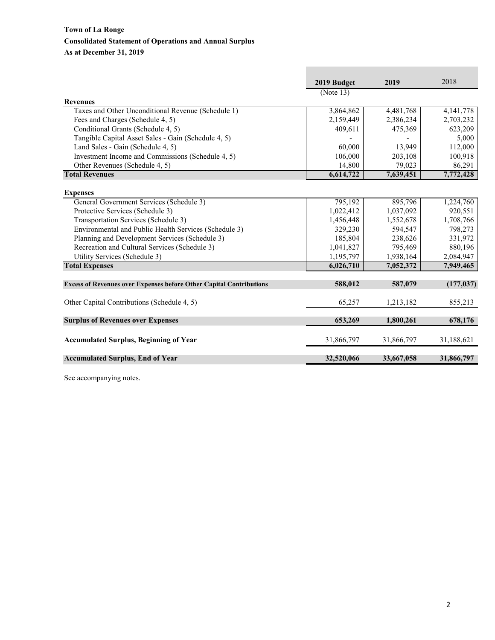# **Town of La Ronge Consolidated Statement of Operations and Annual Surplus As at December 31, 2019**

|                                                                            | 2019 Budget | 2019       | 2018       |
|----------------------------------------------------------------------------|-------------|------------|------------|
|                                                                            | (Note 13)   |            |            |
| <b>Revenues</b>                                                            |             |            |            |
| Taxes and Other Unconditional Revenue (Schedule 1)                         | 3,864,862   | 4,481,768  | 4,141,778  |
| Fees and Charges (Schedule 4, 5)                                           | 2,159,449   | 2,386,234  | 2,703,232  |
| Conditional Grants (Schedule 4, 5)                                         | 409.611     | 475,369    | 623,209    |
| Tangible Capital Asset Sales - Gain (Schedule 4, 5)                        |             |            | 5,000      |
| Land Sales - Gain (Schedule 4, 5)                                          | 60,000      | 13,949     | 112,000    |
| Investment Income and Commissions (Schedule 4, 5)                          | 106,000     | 203,108    | 100,918    |
| Other Revenues (Schedule 4, 5)                                             | 14,800      | 79,023     | 86,291     |
| <b>Total Revenues</b>                                                      | 6,614,722   | 7,639,451  | 7,772,428  |
|                                                                            |             |            |            |
| <b>Expenses</b>                                                            |             |            |            |
| General Government Services (Schedule 3)                                   | 795,192     | 895,796    | 1,224,760  |
| Protective Services (Schedule 3)                                           | 1,022,412   | 1,037,092  | 920,551    |
| Transportation Services (Schedule 3)                                       | 1,456,448   | 1,552,678  | 1,708,766  |
| Environmental and Public Health Services (Schedule 3)                      | 329,230     | 594,547    | 798,273    |
| Planning and Development Services (Schedule 3)                             | 185,804     | 238,626    | 331,972    |
| Recreation and Cultural Services (Schedule 3)                              | 1,041,827   | 795,469    | 880,196    |
| Utility Services (Schedule 3)                                              | 1,195,797   | 1,938,164  | 2,084,947  |
| <b>Total Expenses</b>                                                      | 6,026,710   | 7,052,372  | 7,949,465  |
| <b>Excess of Revenues over Expenses before Other Capital Contributions</b> | 588,012     | 587,079    | (177, 037) |
|                                                                            |             |            |            |
| Other Capital Contributions (Schedule 4, 5)                                | 65,257      | 1,213,182  | 855,213    |
| <b>Surplus of Revenues over Expenses</b>                                   | 653,269     | 1,800,261  | 678,176    |
|                                                                            |             |            |            |
| <b>Accumulated Surplus, Beginning of Year</b>                              | 31,866,797  | 31,866,797 | 31,188,621 |
| <b>Accumulated Surplus, End of Year</b>                                    | 32,520,066  | 33,667,058 | 31,866,797 |
|                                                                            |             |            |            |

See accompanying notes.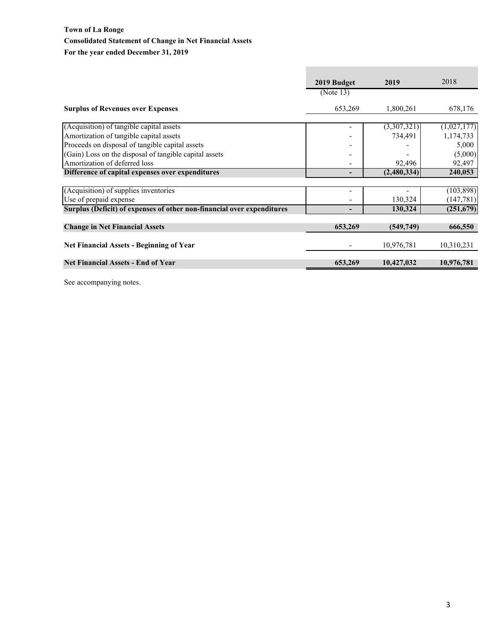# **Town of La Ronge Consolidated Statement of Change in Net Financial Assets For the year ended December 31, 2019**

|                                                                        | 2019 Budget              | 2019        | 2018        |
|------------------------------------------------------------------------|--------------------------|-------------|-------------|
|                                                                        | (Note 13)                |             |             |
| <b>Surplus of Revenues over Expenses</b>                               | 653,269                  | 1,800,261   | 678,176     |
| (Acquisition) of tangible capital assets                               |                          | (3,307,321) | (1,027,177) |
| Amortization of tangible capital assets                                |                          | 734,491     | 1,174,733   |
| Proceeds on disposal of tangible capital assets                        |                          |             | 5,000       |
| (Gain) Loss on the disposal of tangible capital assets                 | $\overline{\phantom{a}}$ |             | (5,000)     |
| Amortization of deferred loss                                          |                          | 92,496      | 92,497      |
| Difference of capital expenses over expenditures                       | ۰                        | (2,480,334) | 240,053     |
| (Acquisition) of supplies inventories                                  |                          |             | (103, 898)  |
| Use of prepaid expense                                                 |                          | 130,324     | (147,781)   |
| Surplus (Deficit) of expenses of other non-financial over expenditures | $\blacksquare$           | 130,324     | (251, 679)  |
| <b>Change in Net Financial Assets</b>                                  | 653,269                  | (549, 749)  | 666,550     |
| <b>Net Financial Assets - Beginning of Year</b>                        |                          | 10,976,781  | 10,310,231  |
| <b>Net Financial Assets - End of Year</b>                              | 653,269                  | 10,427,032  | 10,976,781  |

r

See accompanying notes.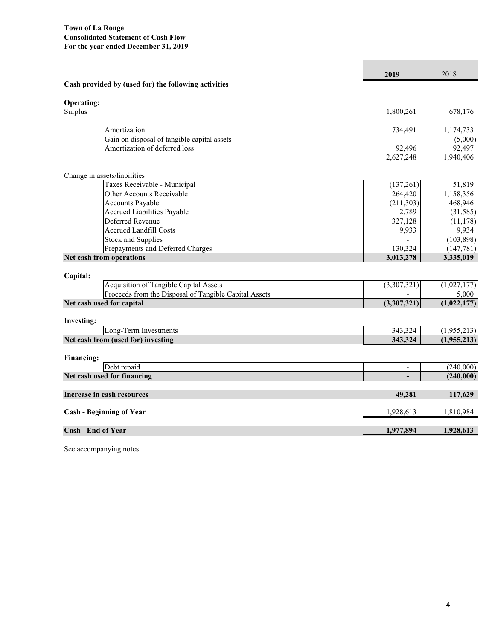|                              |                                                       | 2019        | 2018                        |
|------------------------------|-------------------------------------------------------|-------------|-----------------------------|
|                              | Cash provided by (used for) the following activities  |             |                             |
|                              |                                                       |             |                             |
| <b>Operating:</b><br>Surplus |                                                       | 1,800,261   | 678,176                     |
|                              |                                                       |             |                             |
|                              | Amortization                                          | 734,491     | 1,174,733                   |
|                              | Gain on disposal of tangible capital assets           |             | (5,000)                     |
|                              | Amortization of deferred loss                         | 92,496      | 92,497                      |
|                              |                                                       | 2,627,248   | 1,940,406                   |
|                              | Change in assets/liabilities                          |             |                             |
|                              | Taxes Receivable - Municipal                          | (137,261)   | 51,819                      |
|                              | Other Accounts Receivable                             | 264,420     | 1,158,356                   |
|                              | <b>Accounts Payable</b>                               | (211,303)   | 468,946                     |
|                              | Accrued Liabilities Payable                           | 2,789       | (31,585)                    |
|                              | Deferred Revenue                                      | 327,128     | (11, 178)                   |
|                              | <b>Accrued Landfill Costs</b>                         | 9,933       | 9,934                       |
|                              | <b>Stock and Supplies</b>                             |             | (103, 898)                  |
|                              | Prepayments and Deferred Charges                      | 130,324     | (147,781)                   |
|                              | Net cash from operations                              | 3,013,278   | 3,335,019                   |
|                              |                                                       |             |                             |
| Capital:                     | Acquisition of Tangible Capital Assets                | (3,307,321) | (1,027,177)                 |
|                              | Proceeds from the Disposal of Tangible Capital Assets |             | 5,000                       |
|                              | Net cash used for capital                             | (3,307,321) | (1,022,177)                 |
|                              |                                                       |             |                             |
| <b>Investing:</b>            | Long-Term Investments                                 | 343,324     | (1,955,213)                 |
|                              | Net cash from (used for) investing                    | 343,324     | $\overline{(1,955,213)}$    |
|                              |                                                       |             |                             |
| Financing:                   |                                                       |             |                             |
|                              | Debt repaid                                           |             | (240,000)<br>$\blacksquare$ |
|                              | Net cash used for financing                           |             | (240,000)                   |
|                              | Increase in cash resources                            | 49,281      | 117,629                     |
|                              | <b>Cash - Beginning of Year</b>                       | 1,928,613   | 1,810,984                   |
| <b>Cash - End of Year</b>    |                                                       | 1,977,894   | 1,928,613                   |
|                              |                                                       |             |                             |

See accompanying notes.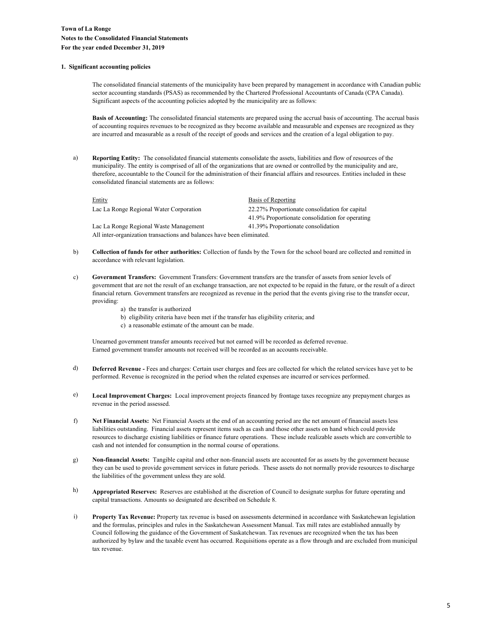#### **1. Significant accounting policies**

The consolidated financial statements of the municipality have been prepared by management in accordance with Canadian public sector accounting standards (PSAS) as recommended by the Chartered Professional Accountants of Canada (CPA Canada). Significant aspects of the accounting policies adopted by the municipality are as follows:

**Basis of Accounting:** The consolidated financial statements are prepared using the accrual basis of accounting. The accrual basis of accounting requires revenues to be recognized as they become available and measurable and expenses are recognized as they are incurred and measurable as a result of the receipt of goods and services and the creation of a legal obligation to pay.

a) **Reporting Entity:** The consolidated financial statements consolidate the assets, liabilities and flow of resources of the municipality. The entity is comprised of all of the organizations that are owned or controlled by the municipality and are, therefore, accountable to the Council for the administration of their financial affairs and resources. Entities included in these consolidated financial statements are as follows:

| Entity                                                                 | Basis of Reporting                              |
|------------------------------------------------------------------------|-------------------------------------------------|
| Lac La Ronge Regional Water Corporation                                | 22.27% Proportionate consolidation for capital  |
|                                                                        | 41.9% Proportionate consolidation for operating |
| Lac La Ronge Regional Waste Management                                 | 41.39% Proportionate consolidation              |
| All inter-organization transactions and balances have been eliminated. |                                                 |

- b) **Collection of funds for other authorities:** Collection of funds by the Town for the school board are collected and remitted in accordance with relevant legislation.
- c) **Government Transfers:** Government Transfers: Government transfers are the transfer of assets from senior levels of government that are not the result of an exchange transaction, are not expected to be repaid in the future, or the result of a direct financial return. Government transfers are recognized as revenue in the period that the events giving rise to the transfer occur, providing:
	- a) the transfer is authorized
	- b) eligibility criteria have been met if the transfer has eligibility criteria; and
	- c) a reasonable estimate of the amount can be made.

Unearned government transfer amounts received but not earned will be recorded as deferred revenue. Earned government transfer amounts not received will be recorded as an accounts receivable.

- d) **Deferred Revenue -** Fees and charges: Certain user charges and fees are collected for which the related services have yet to be performed. Revenue is recognized in the period when the related expenses are incurred or services performed.
- e) **Local Improvement Charges:** Local improvement projects financed by frontage taxes recognize any prepayment charges as revenue in the period assessed.
- f) **Net Financial Assets:** Net Financial Assets at the end of an accounting period are the net amount of financial assets less liabilities outstanding. Financial assets represent items such as cash and those other assets on hand which could provide resources to discharge existing liabilities or finance future operations. These include realizable assets which are convertible to cash and not intended for consumption in the normal course of operations.
- g) **Non-financial Assets:** Tangible capital and other non-financial assets are accounted for as assets by the government because they can be used to provide government services in future periods. These assets do not normally provide resources to discharge the liabilities of the government unless they are sold.
- h) **Appropriated Reserves:** Reserves are established at the discretion of Council to designate surplus for future operating and capital transactions. Amounts so designated are described on Schedule 8.
- i) **Property Tax Revenue:** Property tax revenue is based on assessments determined in accordance with Saskatchewan legislation and the formulas, principles and rules in the Saskatchewan Assessment Manual. Tax mill rates are established annually by Council following the guidance of the Government of Saskatchewan. Tax revenues are recognized when the tax has been authorized by bylaw and the taxable event has occurred. Requisitions operate as a flow through and are excluded from municipal tax revenue.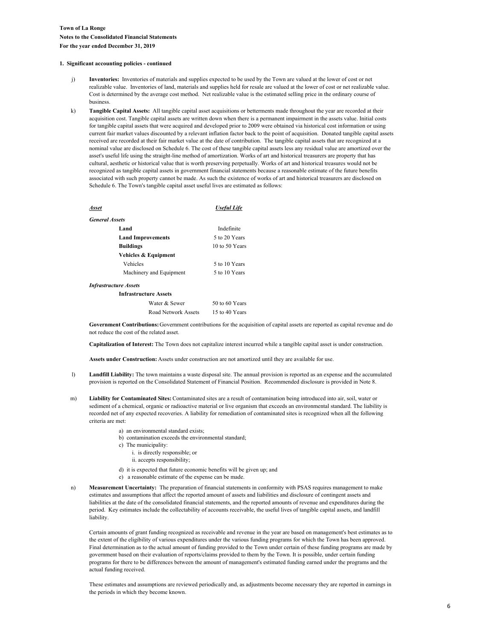#### **Town of La Ronge Notes to the Consolidated Financial Statements For the year ended December 31, 2019**

#### **1. Significant accounting policies - continued**

- j) **Inventories:** Inventories of materials and supplies expected to be used by the Town are valued at the lower of cost or net realizable value. Inventories of land, materials and supplies held for resale are valued at the lower of cost or net realizable value. Cost is determined by the average cost method. Net realizable value is the estimated selling price in the ordinary course of business.
- k) **Tangible Capital Assets:** All tangible capital asset acquisitions or betterments made throughout the year are recorded at their acquisition cost. Tangible capital assets are written down when there is a permanent impairment in the assets value. Initial costs for tangible capital assets that were acquired and developed prior to 2009 were obtained via historical cost information or using current fair market values discounted by a relevant inflation factor back to the point of acquisition. Donated tangible capital assets received are recorded at their fair market value at the date of contribution. The tangible capital assets that are recognized at a nominal value are disclosed on Schedule 6. The cost of these tangible capital assets less any residual value are amortized over the asset's useful life using the straight-line method of amortization. Works of art and historical treasurers are property that has cultural, aesthetic or historical value that is worth preserving perpetually. Works of art and historical treasures would not be recognized as tangible capital assets in government financial statements because a reasonable estimate of the future benefits associated with such property cannot be made. As such the existence of works of art and historical treasurers are disclosed on Schedule 6. The Town's tangible capital asset useful lives are estimated as follows:

| Asset                    | Useful Life    |
|--------------------------|----------------|
| <b>General Assets</b>    |                |
| Land                     | Indefinite     |
| <b>Land Improvements</b> | 5 to 20 Years  |
| <b>Buildings</b>         | 10 to 50 Years |
| Vehicles & Equipment     |                |
| Vehicles                 | 5 to 10 Years  |
| Machinery and Equipment  | 5 to 10 Years  |
|                          |                |

#### *Infrastructure Assets*

**Infra** 

| structure Assets    |                |
|---------------------|----------------|
| Water & Sewer       | 50 to 60 Years |
| Road Network Assets | 15 to 40 Years |

**Government Contributions:** Government contributions for the acquisition of capital assets are reported as capital revenue and do not reduce the cost of the related asset.

**Capitalization of Interest:** The Town does not capitalize interest incurred while a tangible capital asset is under construction.

**Assets under Construction:** Assets under construction are not amortized until they are available for use.

- l) **Landfill Liability:** The town maintains a waste disposal site. The annual provision is reported as an expense and the accumulated provision is reported on the Consolidated Statement of Financial Position. Recommended disclosure is provided in Note 8.
- m) **Liability for Contaminated Sites:** Contaminated sites are a result of contamination being introduced into air, soil, water or sediment of a chemical, organic or radioactive material or live organism that exceeds an environmental standard. The liability is recorded net of any expected recoveries. A liability for remediation of contaminated sites is recognized when all the following criteria are met:
	- a) an environmental standard exists;
	- b) contamination exceeds the environmental standard;
	- c) The municipality:
		- i. is directly responsible; or
		- ii. accepts responsibility;
	- d) it is expected that future economic benefits will be given up; and
	- e) a reasonable estimate of the expense can be made.
- n) **Measurement Uncertainty:** The preparation of financial statements in conformity with PSAS requires management to make estimates and assumptions that affect the reported amount of assets and liabilities and disclosure of contingent assets and liabilities at the date of the consolidated financial statements, and the reported amounts of revenue and expenditures during the period. Key estimates include the collectability of accounts receivable, the useful lives of tangible capital assets, and landfill liability.

Certain amounts of grant funding recognized as receivable and revenue in the year are based on management's best estimates as to the extent of the eligibility of various expenditures under the various funding programs for which the Town has been approved. Final determination as to the actual amount of funding provided to the Town under certain of these funding programs are made by government based on their evaluation of reports/claims provided to them by the Town. It is possible, under certain funding programs for there to be differences between the amount of management's estimated funding earned under the programs and the actual funding received.

These estimates and assumptions are reviewed periodically and, as adjustments become necessary they are reported in earnings in the periods in which they become known.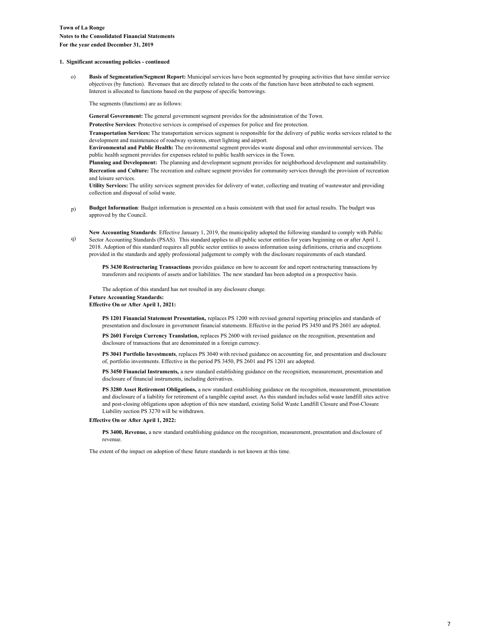#### **1. Significant accounting policies - continued**

o) **Basis of Segmentation/Segment Report:** Municipal services have been segmented by grouping activities that have similar service objectives (by function). Revenues that are directly related to the costs of the function have been attributed to each segment. Interest is allocated to functions based on the purpose of specific borrowings.

The segments (functions) are as follows:

**General Government:** The general government segment provides for the administration of the Town.

**Protective Services**: Protective services is comprised of expenses for police and fire protection.

**Transportation Services:** The transportation services segment is responsible for the delivery of public works services related to the development and maintenance of roadway systems, street lighting and airport.

**Environmental and Public Health:** The environmental segment provides waste disposal and other environmental services. The public health segment provides for expenses related to public health services in the Town.

**Planning and Development:** The planning and development segment provides for neighborhood development and sustainability. **Recreation and Culture:** The recreation and culture segment provides for community services through the provision of recreation and leisure services.

**Utility Services:** The utility services segment provides for delivery of water, collecting and treating of wastewater and providing collection and disposal of solid waste.

- p) **Budget Information**: Budget information is presented on a basis consistent with that used for actual results. The budget was approved by the Council.
- q) **New Accounting Standards**: Effective January 1, 2019, the municipality adopted the following standard to comply with Public Sector Accounting Standards (PSAS). This standard applies to all public sector entities for years beginning on or after April 1, 2018. Adoption of this standard requires all public sector entities to assess information using definitions, criteria and exceptions provided in the standards and apply professional judgement to comply with the disclosure requirements of each standard.

**PS 3430 Restructuring Transactions** provides guidance on how to account for and report restructuring transactions by transferors and recipients of assets and/or liabilities. The new standard has been adopted on a prospective basis.

The adoption of this standard has not resulted in any disclosure change.

#### **Future Accounting Standards: Effective On or After April 1, 2021:**

**PS 1201 Financial Statement Presentation,** replaces PS 1200 with revised general reporting principles and standards of presentation and disclosure in government financial statements. Effective in the period PS 3450 and PS 2601 are adopted.

**PS 2601 Foreign Currency Translation,** replaces PS 2600 with revised guidance on the recognition, presentation and disclosure of transactions that are denominated in a foreign currency.

**PS 3041 Portfolio Investments**, replaces PS 3040 with revised guidance on accounting for, and presentation and disclosure of, portfolio investments. Effective in the period PS 3450, PS 2601 and PS 1201 are adopted.

**PS 3450 Financial Instruments,** a new standard establishing guidance on the recognition, measurement, presentation and disclosure of financial instruments, including derivatives.

**PS 3280 Asset Retirement Obligations,** a new standard establishing guidance on the recognition, measurement, presentation and disclosure of a liability for retirement of a tangible capital asset. As this standard includes solid waste landfill sites active and post-closing obligations upon adoption of this new standard, existing Solid Waste Landfill Closure and Post-Closure Liability section PS 3270 will be withdrawn.

#### **Effective On or After April 1, 2022:**

**PS 3400, Revenue,** a new standard establishing guidance on the recognition, measurement, presentation and disclosure of revenue.

The extent of the impact on adoption of these future standards is not known at this time.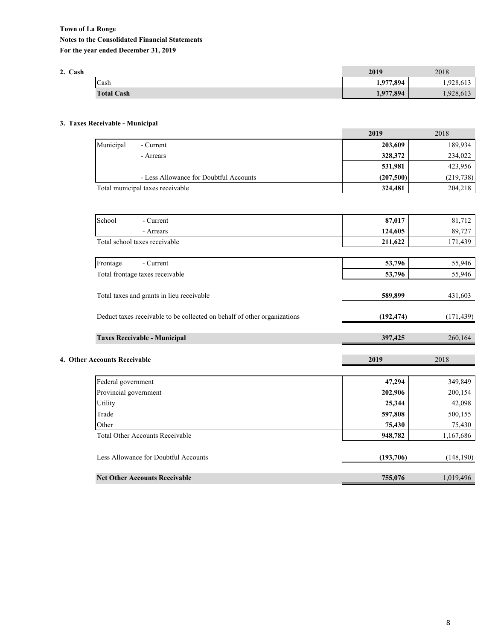# **Town of La Ronge Notes to the Consolidated Financial Statements For the year ended December 31, 2019**

| 2. Cash |                   | 2019      | 2018                                        |
|---------|-------------------|-----------|---------------------------------------------|
|         | Cash              | .977.894  | $\sim$<br>92s<br>1,720,013                  |
|         | <b>Total Cash</b> | 1,977,894 | $\mathbf{1}$ $\mathbf{\Omega}$<br>1,720,015 |

## **3. Taxes Receivable - Municipal**

|           |                                        | 2019      | 2018       |
|-----------|----------------------------------------|-----------|------------|
| Municipal | - Current                              | 203,609   | 189,934    |
|           | - Arrears                              | 328,372   | 234,022    |
|           |                                        | 531,981   | 423,956    |
|           | - Less Allowance for Doubtful Accounts | (207,500) | (219, 738) |
|           | Total municipal taxes receivable       | 324,481   | 204,218    |

| School<br>- Current                                                      | 87,017     | 81,712     |
|--------------------------------------------------------------------------|------------|------------|
| - Arrears                                                                | 124,605    | 89,727     |
| Total school taxes receivable                                            | 211,622    | 171,439    |
| Frontage<br>- Current                                                    | 53,796     | 55,946     |
| Total frontage taxes receivable                                          | 53,796     | 55,946     |
| Total taxes and grants in lieu receivable                                | 589,899    | 431,603    |
| Deduct taxes receivable to be collected on behalf of other organizations | (192, 474) | (171, 439) |
|                                                                          |            |            |
| <b>Taxes Receivable - Municipal</b>                                      | 397,425    | 260,164    |
| 4. Other Accounts Receivable                                             | 2019       | 2018       |
| Federal government                                                       | 47,294     | 349,849    |
| Provincial government                                                    | 202,906    | 200,154    |
| Utility                                                                  | 25,344     | 42,098     |
| Trade                                                                    | 597,808    | 500,155    |
| Other                                                                    | 75,430     | 75,430     |
| <b>Total Other Accounts Receivable</b>                                   | 948,782    | 1,167,686  |
| Less Allowance for Doubtful Accounts                                     | (193,706)  | (148, 190) |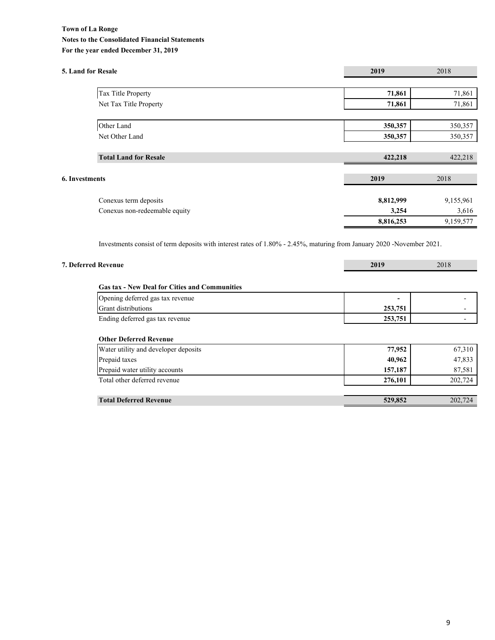# **Town of La Ronge Notes to the Consolidated Financial Statements For the year ended December 31, 2019**

| 5. Land for Resale            | 2019      | 2018      |
|-------------------------------|-----------|-----------|
|                               |           |           |
| Tax Title Property            | 71,861    | 71,861    |
| Net Tax Title Property        | 71,861    | 71,861    |
|                               |           |           |
| Other Land                    | 350,357   | 350,357   |
| Net Other Land                | 350,357   | 350,357   |
|                               |           |           |
| <b>Total Land for Resale</b>  | 422,218   | 422,218   |
|                               |           |           |
| <b>6. Investments</b>         | 2019      | 2018      |
| Conexus term deposits         | 8,812,999 | 9,155,961 |
| Conexus non-redeemable equity | 3,254     | 3,616     |
|                               | 8,816,253 | 9,159,577 |

Investments consist of term deposits with interest rates of 1.80% - 2.45%, maturing from January 2020 -November 2021.

#### **7. Deferred Revenue 2019** 2018

| Opening deferred gas tax revenue                                      |         | -       |
|-----------------------------------------------------------------------|---------|---------|
| Grant distributions                                                   | 253,751 |         |
| Ending deferred gas tax revenue                                       | 253,751 |         |
| <b>Other Deferred Revenue</b><br>Water utility and developer deposits | 77,952  | 67,310  |
|                                                                       |         |         |
|                                                                       |         |         |
|                                                                       | 40,962  | 47,833  |
|                                                                       | 157,187 | 87,581  |
| Total other deferred revenue                                          | 276,101 | 202,724 |
| Prepaid taxes<br>Prepaid water utility accounts                       |         |         |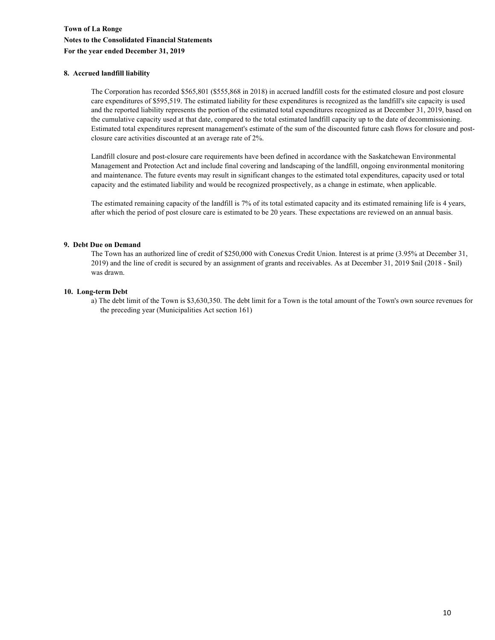#### **8. Accrued landfill liability**

The Corporation has recorded \$565,801 (\$555,868 in 2018) in accrued landfill costs for the estimated closure and post closure care expenditures of \$595,519. The estimated liability for these expenditures is recognized as the landfill's site capacity is used and the reported liability represents the portion of the estimated total expenditures recognized as at December 31, 2019, based on the cumulative capacity used at that date, compared to the total estimated landfill capacity up to the date of decommissioning. Estimated total expenditures represent management's estimate of the sum of the discounted future cash flows for closure and postclosure care activities discounted at an average rate of 2%.

Landfill closure and post-closure care requirements have been defined in accordance with the Saskatchewan Environmental Management and Protection Act and include final covering and landscaping of the landfill, ongoing environmental monitoring and maintenance. The future events may result in significant changes to the estimated total expenditures, capacity used or total capacity and the estimated liability and would be recognized prospectively, as a change in estimate, when applicable.

The estimated remaining capacity of the landfill is 7% of its total estimated capacity and its estimated remaining life is 4 years, after which the period of post closure care is estimated to be 20 years. These expectations are reviewed on an annual basis.

#### **9. Debt Due on Demand**

The Town has an authorized line of credit of \$250,000 with Conexus Credit Union. Interest is at prime (3.95% at December 31, 2019) and the line of credit is secured by an assignment of grants and receivables. As at December 31, 2019 \$nil (2018 - \$nil) was drawn.

#### **10. Long-term Debt**

the preceding year (Municipalities Act section 161) a) The debt limit of the Town is \$3,630,350. The debt limit for a Town is the total amount of the Town's own source revenues for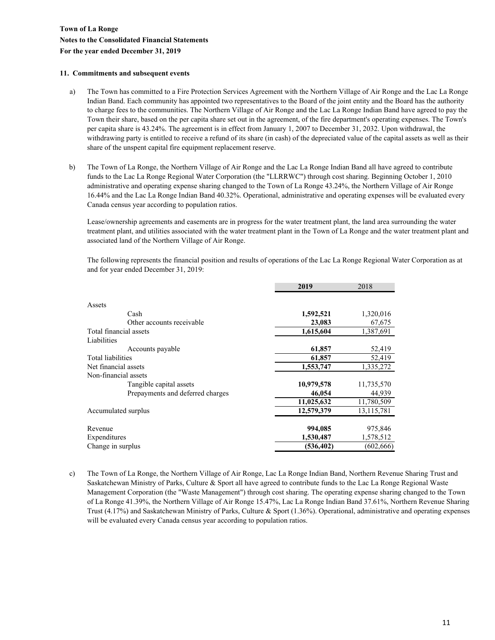## **Town of La Ronge Notes to the Consolidated Financial Statements For the year ended December 31, 2019**

#### **11. Commitments and subsequent events**

- a) The Town has committed to a Fire Protection Services Agreement with the Northern Village of Air Ronge and the Lac La Ronge Indian Band. Each community has appointed two representatives to the Board of the joint entity and the Board has the authority to charge fees to the communities. The Northern Village of Air Ronge and the Lac La Ronge Indian Band have agreed to pay the Town their share, based on the per capita share set out in the agreement, of the fire department's operating expenses. The Town's per capita share is 43.24%. The agreement is in effect from January 1, 2007 to December 31, 2032. Upon withdrawal, the withdrawing party is entitled to receive a refund of its share (in cash) of the depreciated value of the capital assets as well as their share of the unspent capital fire equipment replacement reserve.
- b) The Town of La Ronge, the Northern Village of Air Ronge and the Lac La Ronge Indian Band all have agreed to contribute funds to the Lac La Ronge Regional Water Corporation (the "LLRRWC") through cost sharing. Beginning October 1, 2010 administrative and operating expense sharing changed to the Town of La Ronge 43.24%, the Northern Village of Air Ronge 16.44% and the Lac La Ronge Indian Band 40.32%. Operational, administrative and operating expenses will be evaluated every Canada census year according to population ratios.

Lease/ownership agreements and easements are in progress for the water treatment plant, the land area surrounding the water treatment plant, and utilities associated with the water treatment plant in the Town of La Ronge and the water treatment plant and associated land of the Northern Village of Air Ronge.

The following represents the financial position and results of operations of the Lac La Ronge Regional Water Corporation as at and for year ended December 31, 2019:

|                                  | 2019       | 2018         |
|----------------------------------|------------|--------------|
|                                  |            |              |
| Assets                           |            |              |
| Cash                             | 1,592,521  | 1,320,016    |
| Other accounts receivable        | 23,083     | 67,675       |
| Total financial assets           | 1,615,604  | 1,387,691    |
| Liabilities                      |            |              |
| Accounts payable                 | 61,857     | 52,419       |
| <b>Total liabilities</b>         | 61,857     | 52,419       |
| Net financial assets             | 1,553,747  | 1,335,272    |
| Non-financial assets             |            |              |
| Tangible capital assets          | 10,979,578 | 11,735,570   |
| Prepayments and deferred charges | 46,054     | 44,939       |
|                                  | 11,025,632 | 11,780,509   |
| Accumulated surplus              | 12,579,379 | 13, 115, 781 |
| Revenue                          | 994,085    | 975,846      |
| Expenditures                     | 1,530,487  | 1,578,512    |
| Change in surplus                | (536, 402) | (602, 666)   |

c) The Town of La Ronge, the Northern Village of Air Ronge, Lac La Ronge Indian Band, Northern Revenue Sharing Trust and Saskatchewan Ministry of Parks, Culture & Sport all have agreed to contribute funds to the Lac La Ronge Regional Waste Management Corporation (the "Waste Management") through cost sharing. The operating expense sharing changed to the Town of La Ronge 41.39%, the Northern Village of Air Ronge 15.47%, Lac La Ronge Indian Band 37.61%, Northern Revenue Sharing Trust (4.17%) and Saskatchewan Ministry of Parks, Culture & Sport (1.36%). Operational, administrative and operating expenses will be evaluated every Canada census year according to population ratios.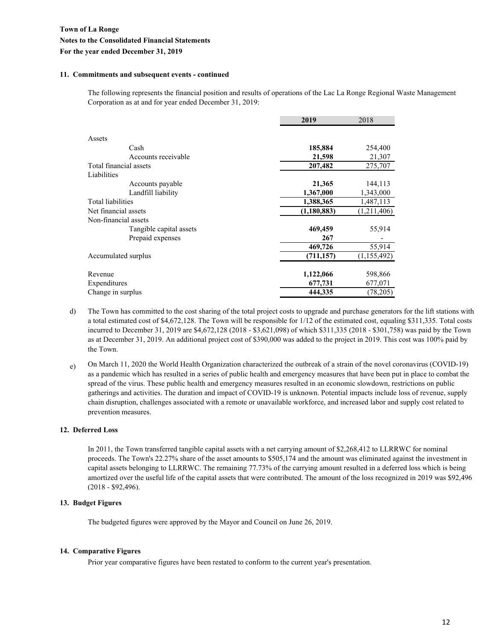#### **11. Commitments and subsequent events - continued**

The following represents the financial position and results of operations of the Lac La Ronge Regional Waste Management Corporation as at and for year ended December 31, 2019:

|                          | 2019          | 2018          |
|--------------------------|---------------|---------------|
|                          |               |               |
| Assets                   |               |               |
| Cash                     | 185,884       | 254,400       |
| Accounts receivable      | 21,598        | 21,307        |
| Total financial assets   | 207,482       | 275,707       |
| Liabilities              |               |               |
| Accounts payable         | 21,365        | 144,113       |
| Landfill liability       | 1,367,000     | 1,343,000     |
| <b>Total liabilities</b> | 1,388,365     | 1,487,113     |
| Net financial assets     | (1, 180, 883) | (1,211,406)   |
| Non-financial assets     |               |               |
| Tangible capital assets  | 469,459       | 55,914        |
| Prepaid expenses         | 267           |               |
|                          | 469,726       | 55,914        |
| Accumulated surplus      | (711, 157)    | (1, 155, 492) |
|                          |               |               |
| Revenue                  | 1,122,066     | 598,866       |
| Expenditures             | 677,731       | 677,071       |
| Change in surplus        | 444,335       | (78,205)      |

- d) The Town has committed to the cost sharing of the total project costs to upgrade and purchase generators for the lift stations with a total estimated cost of \$4,672,128. The Town will be responsible for 1/12 of the estimated cost, equaling \$311,335. Total costs incurred to December 31, 2019 are \$4,672,128 (2018 - \$3,621,098) of which \$311,335 (2018 - \$301,758) was paid by the Town as at December 31, 2019. An additional project cost of \$390,000 was added to the project in 2019. This cost was 100% paid by the Town.
- e) On March 11, 2020 the World Health Organization characterized the outbreak of a strain of the novel coronavirus (COVID-19) as a pandemic which has resulted in a series of public health and emergency measures that have been put in place to combat the spread of the virus. These public health and emergency measures resulted in an economic slowdown, restrictions on public gatherings and activities. The duration and impact of COVID-19 is unknown. Potential impacts include loss of revenue, supply chain disruption, challenges associated with a remote or unavailable workforce, and increased labor and supply cost related to prevention measures.

#### **12. Deferred Loss**

In 2011, the Town transferred tangible capital assets with a net carrying amount of \$2,268,412 to LLRRWC for nominal proceeds. The Town's 22.27% share of the asset amounts to \$505,174 and the amount was eliminated against the investment in capital assets belonging to LLRRWC. The remaining 77.73% of the carrying amount resulted in a deferred loss which is being amortized over the useful life of the capital assets that were contributed. The amount of the loss recognized in 2019 was \$92,496 (2018 - \$92,496).

#### **13. Budget Figures**

The budgeted figures were approved by the Mayor and Council on June 26, 2019.

#### **14. Comparative Figures**

Prior year comparative figures have been restated to conform to the current year's presentation.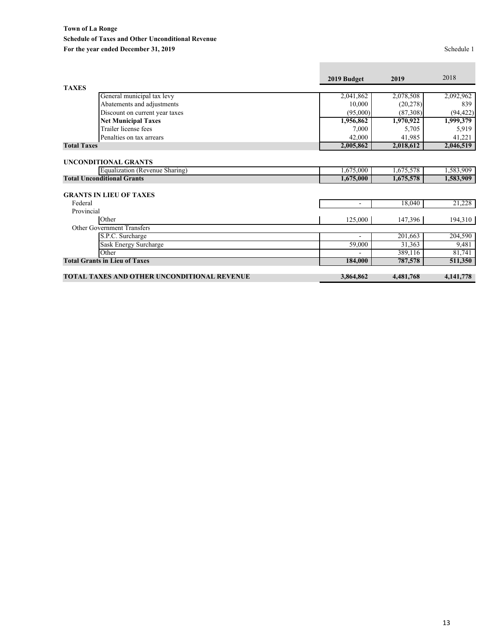|                    |                                             | 2019 Budget | 2019      | 2018        |
|--------------------|---------------------------------------------|-------------|-----------|-------------|
| <b>TAXES</b>       |                                             |             |           |             |
|                    | General municipal tax levy                  | 2,041,862   | 2,078,508 | 2,092,962   |
|                    | Abatements and adjustments                  | 10,000      | (20, 278) | 839         |
|                    | Discount on current year taxes              | (95,000)    | (87,308)  | (94, 422)   |
|                    | <b>Net Municipal Taxes</b>                  | 1,956,862   | 1,970,922 | 1,999,379   |
|                    | Trailer license fees                        | 7,000       | 5,705     | 5,919       |
|                    | Penalties on tax arrears                    | 42,000      | 41,985    | 41,221      |
| <b>Total Taxes</b> |                                             | 2,005,862   | 2,018,612 | 2,046,519   |
|                    |                                             |             |           |             |
|                    | UNCONDITIONAL GRANTS                        |             |           |             |
|                    | Equalization (Revenue Sharing)              | 1,675,000   | 1,675,578 | 1,583,909   |
|                    | <b>Total Unconditional Grants</b>           | 1,675,000   | 1,675,578 | 1,583,909   |
|                    |                                             |             |           |             |
|                    | <b>GRANTS IN LIEU OF TAXES</b>              |             |           |             |
| Federal            |                                             | $\sim$      | 18,040    | 21,228      |
| Provincial         | Other                                       |             |           |             |
|                    |                                             | 125,000     | 147,396   | 194,310     |
|                    | <b>Other Government Transfers</b>           |             |           |             |
|                    | S.P.C. Surcharge                            |             | 201,663   | 204,590     |
|                    | Sask Energy Surcharge                       | 59,000      | 31,363    | 9,481       |
|                    | Other                                       |             | 389,116   | 81,741      |
|                    | <b>Total Grants in Lieu of Taxes</b>        | 184,000     | 787,578   | 511,350     |
|                    |                                             |             |           |             |
|                    | TOTAL TAXES AND OTHER UNCONDITIONAL REVENUE | 3,864,862   | 4,481,768 | 4, 141, 778 |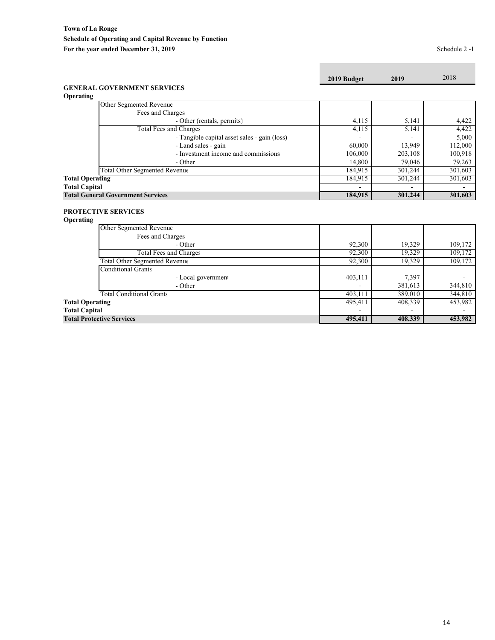**2019 Budget 2019** 2018 **GENERAL GOVERNMENT SERVICES Operating** Other Segmented Revenue Fees and Charges - Other (rentals, permits) 4,115 5,141 4,422<br>d Charges 4,115 5,141 4,422 Total Fees and Charges 5,000 60,000 13,949 112,000 106,000 203,108 100,918<br>14,800 79,046 79,263 - Tangible capital asset sales - gain (loss) - Land sales - gain - Investment income and commissions - Other 29,263 14,800 79,046 79,263 Total Other Segmented Revenue 301,603 301,244 301,603

#### **Total Operating 301,603** 301,603 301,603

**Total Capital** - - - **Total General Government Services** 301,603 **184,915** 301,244 301,603

# **PROTECTIVE SERVICES**

**Operating**

| $\sim$ $\sim$ $\sim$ $\sim$ $\sim$ $\sim$ |                                  |         |         |         |
|-------------------------------------------|----------------------------------|---------|---------|---------|
|                                           | Other Segmented Revenue          |         |         |         |
|                                           | Fees and Charges                 |         |         |         |
|                                           | - Other                          | 92,300  | 19,329  | 109,172 |
|                                           | Total Fees and Charges           | 92,300  | 19,329  | 109,172 |
|                                           | Total Other Segmented Revenue    | 92,300  | 19,329  | 109,172 |
|                                           | <b>Conditional Grants</b>        |         |         |         |
|                                           | - Local government               | 403,111 | 7.397   |         |
|                                           | - Other                          |         | 381,613 | 344,810 |
|                                           | <b>Total Conditional Grants</b>  | 403,111 | 389,010 | 344,810 |
| <b>Total Operating</b>                    |                                  | 495,411 | 408,339 | 453,982 |
| <b>Total Capital</b>                      |                                  |         |         |         |
|                                           | <b>Total Protective Services</b> | 495,411 | 408,339 | 453,982 |
|                                           |                                  |         |         |         |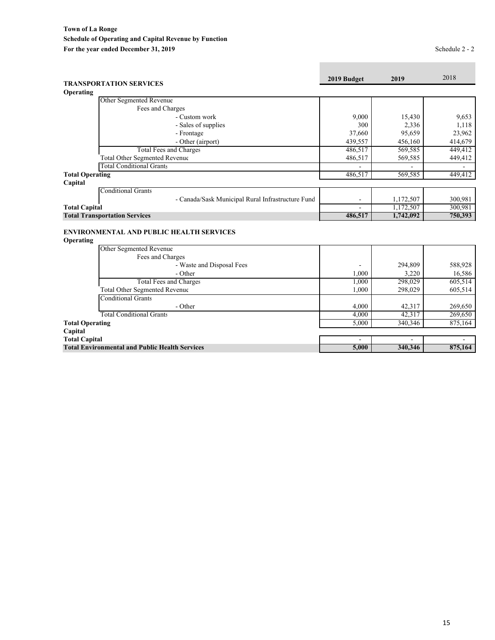| <b>TRANSPORTATION SERVICES</b>                    | 2019 Budget | 2019                     | 2018    |
|---------------------------------------------------|-------------|--------------------------|---------|
| Operating                                         |             |                          |         |
| Other Segmented Revenue                           |             |                          |         |
| Fees and Charges                                  |             |                          |         |
| - Custom work                                     | 9,000       | 15,430                   | 9,653   |
| - Sales of supplies                               | 300         | 2,336                    | 1,118   |
| - Frontage                                        | 37,660      | 95,659                   | 23,962  |
| - Other (airport)                                 | 439,557     | 456,160                  | 414,679 |
| Total Fees and Charges                            | 486,517     | 569,585                  | 449,412 |
| Total Other Segmented Revenue                     | 486,517     | 569,585                  | 449,412 |
| <b>Total Conditional Grants</b>                   | ۰           | $\overline{\phantom{0}}$ |         |
| <b>Total Operating</b>                            | 486,517     | 569,585                  | 449,412 |
| Capital                                           |             |                          |         |
| <b>Conditional Grants</b>                         |             |                          |         |
| - Canada/Sask Municipal Rural Infrastructure Fund | ۰           | 1,172,507                | 300,981 |
| <b>Total Capital</b>                              | ۰           | 1,172,507                | 300,981 |
| <b>Total Transportation Services</b>              | 486,517     | 1,742,092                | 750,393 |

# **ENVIRONMENTAL AND PUBLIC HEALTH SERVICES**

**Operating**

| $\overline{\phantom{0}}$ | 294,809 | 588,928 |
|--------------------------|---------|---------|
| .000                     | 3,220   | 16,586  |
| 000                      | 298,029 | 605,514 |
| 1,000                    | 298,029 | 605,514 |
|                          |         |         |
| 4.000                    | 42,317  | 269,650 |
| 4,000                    | 42,317  | 269,650 |
| 5,000                    | 340,346 | 875,164 |
|                          |         |         |
|                          |         |         |
| 5,000                    | 340,346 | 875,164 |
|                          |         |         |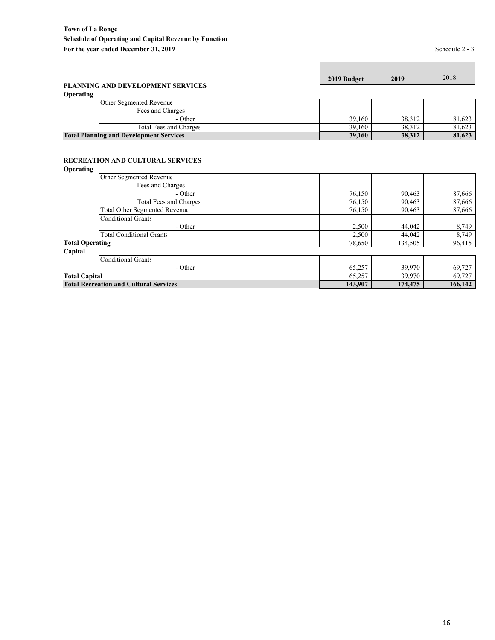|                                                | 2019 Budget | 2019    | 2018    |
|------------------------------------------------|-------------|---------|---------|
| PLANNING AND DEVELOPMENT SERVICES<br>Operating |             |         |         |
| Other Segmented Revenue                        |             |         |         |
| Fees and Charges                               |             |         |         |
| - Other                                        | 39,160      | 38,312  | 81,623  |
| <b>Total Fees and Charges</b>                  | 39,160      | 38,312  | 81,623  |
| <b>Total Planning and Development Services</b> | 39,160      | 38,312  | 81,623  |
|                                                |             |         |         |
|                                                |             |         |         |
| <b>RECREATION AND CULTURAL SERVICES</b>        |             |         |         |
| Operating                                      |             |         |         |
| Other Segmented Revenue                        |             |         |         |
| Fees and Charges                               |             |         |         |
| - Other                                        | 76,150      | 90,463  | 87,666  |
| Total Fees and Charges                         | 76,150      | 90,463  | 87,666  |
| Total Other Segmented Revenue                  | 76,150      | 90,463  | 87,666  |
| <b>Conditional Grants</b>                      |             |         |         |
| - Other                                        | 2,500       | 44,042  | 8,749   |
| <b>Total Conditional Grants</b>                | 2,500       | 44,042  | 8,749   |
| <b>Total Operating</b>                         | 78,650      | 134,505 | 96,415  |
| Capital                                        |             |         |         |
| <b>Conditional Grants</b>                      |             |         |         |
| - Other                                        | 65,257      | 39,970  | 69,727  |
| <b>Total Capital</b>                           | 65,257      | 39,970  | 69,727  |
| <b>Total Recreation and Cultural Services</b>  | 143,907     | 174,475 | 166,142 |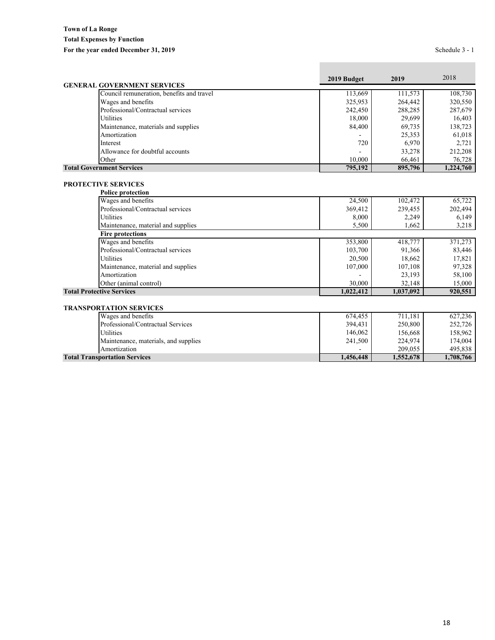|                                           | 2019 Budget | 2019      | 2018      |
|-------------------------------------------|-------------|-----------|-----------|
| <b>GENERAL GOVERNMENT SERVICES</b>        |             |           |           |
| Council remuneration, benefits and travel | 113,669     | 111,573   | 108,730   |
| Wages and benefits                        | 325,953     | 264,442   | 320,550   |
| Professional/Contractual services         | 242,450     | 288,285   | 287,679   |
| <b>Utilities</b>                          | 18,000      | 29,699    | 16,403    |
| Maintenance, materials and supplies       | 84,400      | 69,735    | 138,723   |
| Amortization                              |             | 25,353    | 61,018    |
| Interest                                  | 720         | 6,970     | 2,721     |
| Allowance for doubtful accounts           |             | 33,278    | 212,208   |
| Other                                     | 10,000      | 66,461    | 76,728    |
| <b>Total Government Services</b>          | 795,192     | 895,796   | 1,224,760 |
|                                           |             |           |           |
| PROTECTIVE SERVICES                       |             |           |           |
| <b>Police protection</b>                  |             |           |           |
| Wages and benefits                        | 24,500      | 102,472   | 65,722    |
| Professional/Contractual services         | 369,412     | 239,455   | 202,494   |
| <b>Utilities</b>                          | 8,000       | 2,249     | 6,149     |
| Maintenance, material and supplies        | 5,500       | 1.662     | 3,218     |
| <b>Fire protections</b>                   |             |           |           |
| Wages and benefits                        | 353,800     | 418,777   | 371,273   |
| Professional/Contractual services         | 103,700     | 91,366    | 83,446    |
| Utilities                                 | 20,500      | 18,662    | 17,821    |
| Maintenance, material and supplies        | 107,000     | 107,108   | 97,328    |
| Amortization                              |             | 23,193    | 58,100    |
| Other (animal control)                    | 30,000      | 32,148    | 15,000    |
| <b>Total Protective Services</b>          | 1,022,412   | 1,037,092 | 920,551   |
|                                           |             |           |           |
| <b>TRANSPORTATION SERVICES</b>            |             |           |           |
| Wages and benefits                        | 674,455     | 711,181   | 627,236   |
| Professional/Contractual Services         | 394,431     | 250,800   | 252,726   |
| <b>Utilities</b>                          | 146,062     | 156,668   | 158,962   |
| Maintenance, materials, and supplies      | 241,500     | 224,974   | 174,004   |
| Amortization                              |             | 209,055   | 495,838   |
| <b>Total Transportation Services</b>      | 1.456.448   | 1,552,678 | 1,708,766 |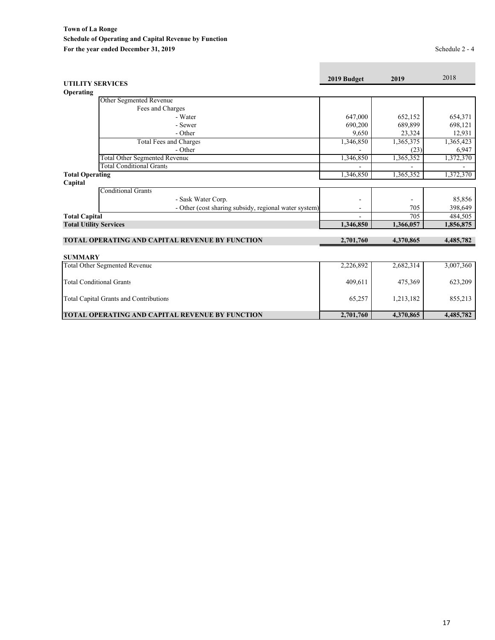| <b>UTILITY SERVICES</b>                                | 2019 Budget | 2019      | 2018      |
|--------------------------------------------------------|-------------|-----------|-----------|
| Operating                                              |             |           |           |
| Other Segmented Revenue                                |             |           |           |
| Fees and Charges                                       |             |           |           |
| - Water                                                | 647,000     | 652,152   | 654,371   |
| - Sewer                                                | 690,200     | 689,899   | 698,121   |
| - Other                                                | 9,650       | 23,324    | 12,931    |
| <b>Total Fees and Charges</b>                          | 1,346,850   | 1,365,375 | 1,365,423 |
| - Other                                                |             | (23)      | 6,947     |
| Total Other Segmented Revenue                          | 1,346,850   | 1,365,352 | 1,372,370 |
| <b>Total Conditional Grants</b>                        |             |           |           |
| <b>Total Operating</b>                                 | 1,346,850   | 1,365,352 | 1,372,370 |
| Capital                                                |             |           |           |
| <b>Conditional Grants</b>                              |             |           |           |
| - Sask Water Corp.                                     |             |           | 85,856    |
| - Other (cost sharing subsidy, regional water system)  |             | 705       | 398,649   |
| <b>Total Capital</b>                                   |             | 705       | 484,505   |
| <b>Total Utility Services</b>                          | 1,346,850   | 1,366,057 | 1,856,875 |
| <b>TOTAL OPERATING AND CAPITAL REVENUE BY FUNCTION</b> | 2,701,760   | 4,370,865 | 4,485,782 |
|                                                        |             |           |           |
| <b>SUMMARY</b>                                         |             |           |           |
| <b>Total Other Segmented Revenue</b>                   | 2,226,892   | 2,682,314 | 3,007,360 |
| <b>Total Conditional Grants</b>                        | 409,611     | 475,369   | 623,209   |
| Total Capital Grants and Contributions                 | 65,257      | 1,213,182 | 855,213   |
| <b>TOTAL OPERATING AND CAPITAL REVENUE BY FUNCTION</b> | 2,701,760   | 4,370,865 | 4,485,782 |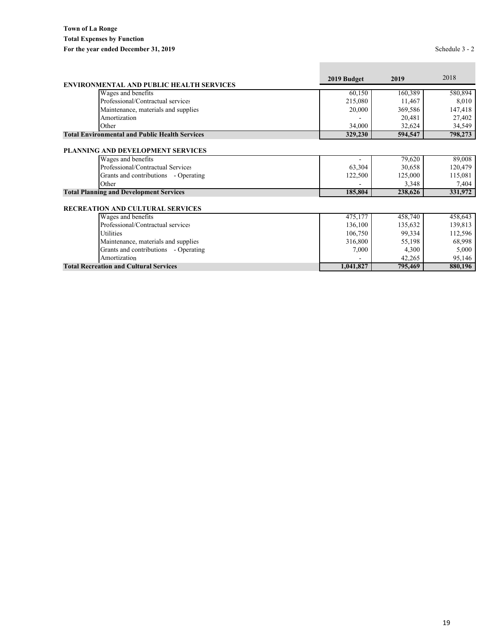|                                                       | 2019 Budget | 2019    | 2018    |
|-------------------------------------------------------|-------------|---------|---------|
| <b>ENVIRONMENTAL AND PUBLIC HEALTH SERVICES</b>       |             |         |         |
| Wages and benefits                                    | 60,150      | 160,389 | 580,894 |
| Professional/Contractual services                     | 215,080     | 11,467  | 8,010   |
| Maintenance, materials and supplies                   | 20,000      | 369,586 | 147,418 |
| Amortization                                          |             | 20,481  | 27,402  |
| Other                                                 | 34,000      | 32,624  | 34,549  |
| <b>Total Environmental and Public Health Services</b> | 329,230     | 594,547 | 798,273 |
|                                                       |             |         |         |
| <b>PLANNING AND DEVELOPMENT SERVICES</b>              |             |         |         |
| Wages and benefits                                    |             | 79,620  | 89,008  |
| Professional/Contractual Services                     | 63,304      | 30,658  | 120,479 |
| Grants and contributions - Operating                  | 122,500     | 125,000 | 115,081 |
| Other                                                 |             | 3,348   | 7,404   |
| <b>Total Planning and Development Services</b>        | 185,804     | 238,626 | 331,972 |
|                                                       |             |         |         |
| <b>RECREATION AND CULTURAL SERVICES</b>               |             |         |         |
| Wages and benefits                                    | 475,177     | 458,740 | 458,643 |
| Professional/Contractual services                     | 136,100     | 135,632 | 139,813 |
| Utilities                                             | 106,750     | 99,334  | 112,596 |
| Maintenance, materials and supplies                   | 316,800     | 55,198  | 68,998  |
| Grants and contributions - Operating                  | 7,000       | 4,300   | 5,000   |
| Amortization                                          |             | 42,265  | 95,146  |
| <b>Total Recreation and Cultural Services</b>         | 1,041,827   | 795,469 | 880,196 |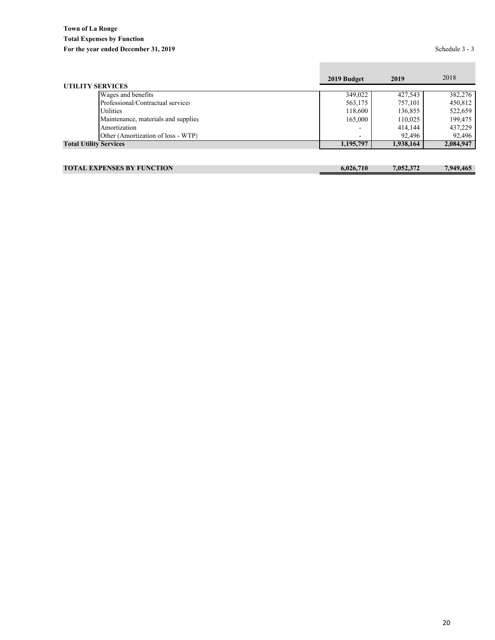|                                     | 2019 Budget    | 2019      | 2018      |
|-------------------------------------|----------------|-----------|-----------|
| <b>UTILITY SERVICES</b>             |                |           |           |
| Wages and benefits                  | 349,022        | 427.543   | 382,276   |
| Professional/Contractual services   | 563,175        | 757,101   | 450,812   |
| <b>Utilities</b>                    | 118,600        | 136,855   | 522,659   |
| Maintenance, materials and supplies | 165,000        | 110,025   | 199,475   |
| Amortization                        | $\overline{a}$ | 414,144   | 437,229   |
| Other (Amortization of loss - WTP)  | $\sim$         | 92.496    | 92,496    |
| <b>Total Utility Services</b>       | 1,195,797      | 1,938,164 | 2,084,947 |
|                                     |                |           |           |

| <b>TOTAL EXPENSES BY FUNCTION</b> | 6.026.710 | 7,052,372 | 7,949,465 |
|-----------------------------------|-----------|-----------|-----------|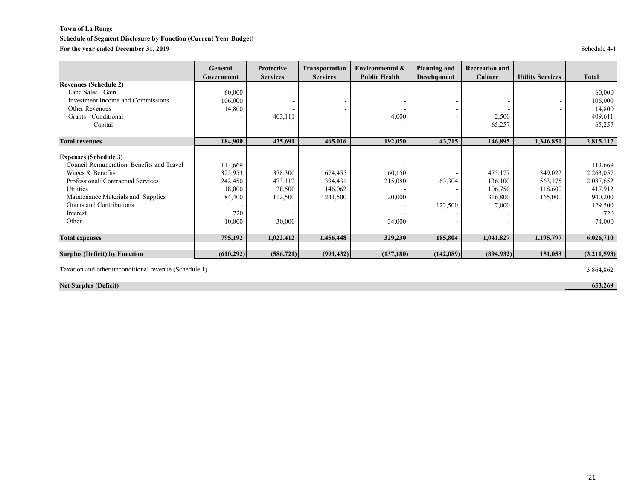# **Town of La Ronge Schedule of Segment Disclosure by Function (Current Year Budget)**

**For the year ended December 31, 2019** Schedule 4-1

|                                           | <b>General</b> | Protective      | Transportation  | Environmental &      | <b>Planning and</b> | <b>Recreation and</b> |                         |              |
|-------------------------------------------|----------------|-----------------|-----------------|----------------------|---------------------|-----------------------|-------------------------|--------------|
|                                           | Government     | <b>Services</b> | <b>Services</b> | <b>Public Health</b> | Development         | Culture               | <b>Utility Services</b> | <b>Total</b> |
| <b>Revenues (Schedule 2)</b>              |                |                 |                 |                      |                     |                       |                         |              |
| Land Sales - Gain                         | 60,000         |                 |                 |                      |                     |                       |                         | 60,000       |
| Investment Income and Commissions         | 106,000        |                 |                 |                      |                     |                       |                         | 106,000      |
| Other Revenues                            | 14,800         |                 |                 |                      |                     |                       |                         | 14,800       |
| Grants - Conditional                      |                | 403,111         |                 | 4,000                |                     | 2,500                 |                         | 409,611      |
| - Capital                                 |                |                 |                 |                      |                     | 65,257                |                         | 65,257       |
| <b>Total revenues</b>                     | 184,900        | 435,691         | 465,016         | 192,050              | 43,715              | 146,895               | 1,346,850               | 2,815,117    |
|                                           |                |                 |                 |                      |                     |                       |                         |              |
| <b>Expenses (Schedule 3)</b>              |                |                 |                 |                      |                     |                       |                         |              |
| Council Remuneration, Benefits and Travel | 113,669        |                 |                 |                      |                     |                       |                         | 113,669      |
| Wages & Benefits                          | 325,953        | 378,300         | 674,455         | 60,150               |                     | 475,177               | 349,022                 | 2,263,057    |
| Professional/Contractual Services         | 242,450        | 473,112         | 394,431         | 215,080              | 63,304              | 136,100               | 563,175                 | 2,087,652    |
| Utilities                                 | 18,000         | 28,500          | 146,062         |                      |                     | 106,750               | 118,600                 | 417,912      |
| Maintenance Materials and Supplies        | 84,400         | 112,500         | 241,500         | 20,000               |                     | 316,800               | 165,000                 | 940,200      |
| Grants and Contributions                  |                |                 |                 |                      | 122,500             | 7,000                 |                         | 129,500      |
| Interest                                  | 720            |                 |                 |                      |                     |                       |                         | 720          |
| Other                                     | 10,000         | 30,000          |                 | 34,000               |                     |                       |                         | 74,000       |
| <b>Total expenses</b>                     | 795,192        | 1,022,412       | 1,456,448       | 329,230              | 185,804             | 1,041,827             | 1,195,797               | 6,026,710    |
|                                           |                |                 |                 |                      |                     |                       |                         |              |
| <b>Surplus (Deficit) by Function</b>      | (610, 292)     | (586, 721)      | (991, 432)      | (137, 180)           | (142,089)           | (894, 932)            | 151,053                 | (3,211,593)  |
|                                           |                |                 |                 |                      |                     |                       |                         |              |

Taxation and other unconditional revenue (Schedule 1)

**Net Surplus (Deficit) 653,269** 

 $3,864,862$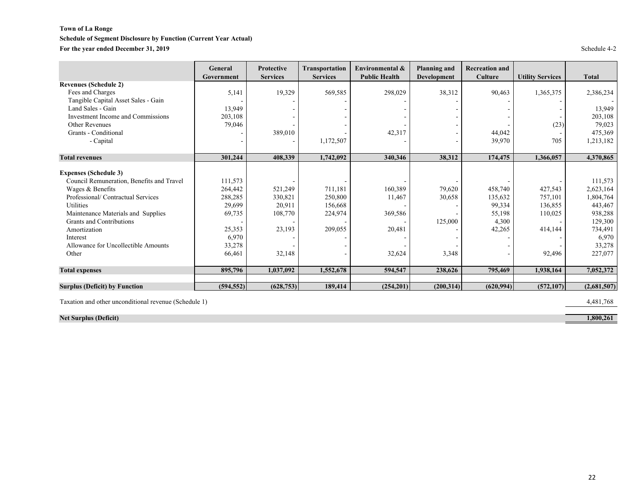## **Town of La Ronge Schedule of Segment Disclosure by Function (Current Year Actual)** For the year ended December 31, 2019<br>Schedule 4-2

|                                           | General    | <b>Protective</b> | <b>Transportation</b> | Environmental &      | <b>Planning and</b> | <b>Recreation and</b> |                         |              |
|-------------------------------------------|------------|-------------------|-----------------------|----------------------|---------------------|-----------------------|-------------------------|--------------|
| <b>Revenues (Schedule 2)</b>              | Government | <b>Services</b>   | <b>Services</b>       | <b>Public Health</b> | Development         | <b>Culture</b>        | <b>Utility Services</b> | <b>Total</b> |
| Fees and Charges                          |            |                   |                       |                      |                     |                       |                         |              |
|                                           | 5,141      | 19,329            | 569,585               | 298,029              | 38,312              | 90,463                | 1,365,375               | 2,386,234    |
| Tangible Capital Asset Sales - Gain       |            |                   |                       |                      |                     |                       |                         |              |
| Land Sales - Gain                         | 13,949     |                   |                       |                      |                     |                       |                         | 13,949       |
| Investment Income and Commissions         | 203,108    |                   |                       |                      |                     |                       |                         | 203,108      |
| Other Revenues                            | 79,046     |                   |                       |                      |                     |                       | (23)                    | 79,023       |
| Grants - Conditional                      |            | 389,010           |                       | 42,317               |                     | 44,042                |                         | 475,369      |
| - Capital                                 |            |                   | 1,172,507             |                      |                     | 39,970                | 705                     | 1,213,182    |
| <b>Total revenues</b>                     | 301,244    | 408,339           | 1,742,092             | 340,346              | 38,312              | 174,475               | 1,366,057               | 4,370,865    |
|                                           |            |                   |                       |                      |                     |                       |                         |              |
| <b>Expenses (Schedule 3)</b>              |            |                   |                       |                      |                     |                       |                         |              |
| Council Remuneration, Benefits and Travel | 111,573    |                   |                       |                      |                     |                       |                         | 111,573      |
| Wages & Benefits                          | 264,442    | 521,249           | 711,181               | 160,389              | 79,620              | 458,740               | 427,543                 | 2,623,164    |
| Professional/Contractual Services         | 288,285    | 330,821           | 250,800               | 11,467               | 30,658              | 135,632               | 757,101                 | 1,804,764    |
| Utilities                                 | 29,699     | 20,911            | 156,668               |                      |                     | 99,334                | 136,855                 | 443,467      |
| Maintenance Materials and Supplies        | 69,735     | 108,770           | 224,974               | 369,586              |                     | 55,198                | 110,025                 | 938,288      |
| Grants and Contributions                  |            |                   |                       |                      | 125,000             | 4,300                 |                         | 129,300      |
| Amortization                              | 25,353     | 23,193            | 209,055               | 20,481               |                     | 42,265                | 414,144                 | 734,491      |
| Interest                                  | 6,970      |                   |                       |                      |                     |                       |                         | 6,970        |
| Allowance for Uncollectible Amounts       | 33,278     |                   |                       |                      |                     |                       |                         | 33,278       |
| Other                                     | 66,461     | 32,148            |                       | 32,624               | 3,348               |                       | 92,496                  | 227,077      |
| <b>Total expenses</b>                     | 895,796    | 1,037,092         | 1,552,678             | 594,547              | 238,626             | 795,469               | 1,938,164               | 7,052,372    |
|                                           |            |                   |                       |                      |                     |                       |                         |              |
| <b>Surplus (Deficit) by Function</b>      | (594, 552) | (628, 753)        | 189,414               | (254, 201)           | (200, 314)          | (620, 994)            | (572, 107)              | (2,681,507)  |

Taxation and other unconditional revenue (Schedule 1)

**Net Surplus (Deficit) 1,800,261**

4,481,768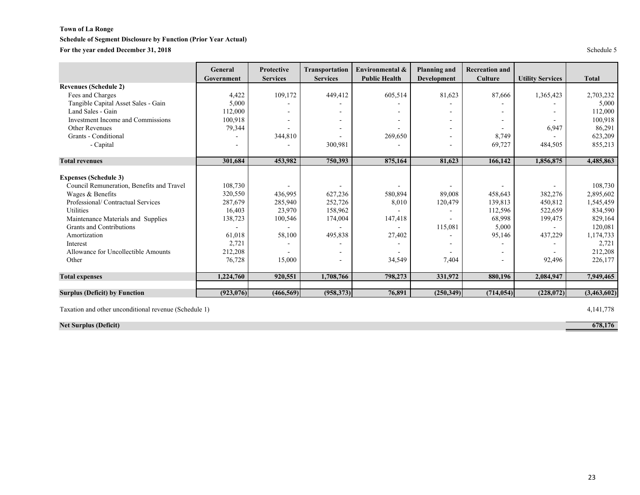#### **Town of La Ronge**

#### **Schedule of Segment Disclosure by Function (Prior Year Actual)**

For the year ended December 31, 2018

| Schedule 5 |  |
|------------|--|
|            |  |

|                                           | General<br>Government | <b>Protective</b><br><b>Services</b> | <b>Transportation</b><br><b>Services</b> | Environmental &<br><b>Public Health</b> | <b>Planning and</b><br>Development | <b>Recreation and</b><br><b>Culture</b> | <b>Utility Services</b> | <b>Total</b> |
|-------------------------------------------|-----------------------|--------------------------------------|------------------------------------------|-----------------------------------------|------------------------------------|-----------------------------------------|-------------------------|--------------|
| <b>Revenues (Schedule 2)</b>              |                       |                                      |                                          |                                         |                                    |                                         |                         |              |
| Fees and Charges                          | 4,422                 | 109,172                              | 449,412                                  | 605,514                                 | 81,623                             | 87,666                                  | 1,365,423               | 2,703,232    |
| Tangible Capital Asset Sales - Gain       | 5,000                 |                                      |                                          |                                         |                                    |                                         |                         | 5,000        |
| Land Sales - Gain                         | 112,000               |                                      |                                          |                                         | $\blacksquare$                     |                                         |                         | 112,000      |
| Investment Income and Commissions         | 100,918               |                                      |                                          |                                         |                                    |                                         |                         | 100,918      |
| Other Revenues                            | 79,344                |                                      |                                          |                                         |                                    |                                         | 6,947                   | 86,291       |
| Grants - Conditional                      |                       | 344,810                              |                                          | 269,650                                 |                                    | 8,749                                   |                         | 623,209      |
| - Capital                                 |                       |                                      | 300,981                                  |                                         |                                    | 69,727                                  | 484,505                 | 855,213      |
| <b>Total revenues</b>                     | 301.684               | 453,982                              | 750,393                                  | 875,164                                 | 81,623                             | 166,142                                 | 1.856.875               | 4,485,863    |
| <b>Expenses (Schedule 3)</b>              |                       |                                      |                                          |                                         |                                    |                                         |                         |              |
| Council Remuneration, Benefits and Travel | 108,730               |                                      |                                          |                                         |                                    |                                         |                         | 108,730      |
| Wages & Benefits                          | 320,550               | 436,995                              | 627,236                                  | 580,894                                 | 89,008                             | 458,643                                 | 382,276                 | 2,895,602    |
| Professional/Contractual Services         | 287,679               | 285,940                              | 252,726                                  | 8,010                                   | 120,479                            | 139,813                                 | 450,812                 | 1,545,459    |
| Utilities                                 | 16,403                | 23,970                               | 158,962                                  |                                         |                                    | 112,596                                 | 522,659                 | 834,590      |
| Maintenance Materials and Supplies        | 138,723               | 100,546                              | 174,004                                  | 147,418                                 |                                    | 68,998                                  | 199,475                 | 829,164      |
| Grants and Contributions                  |                       |                                      |                                          |                                         | 115,081                            | 5,000                                   |                         | 120,081      |
| Amortization                              | 61,018                | 58,100                               | 495,838                                  | 27,402                                  |                                    | 95,146                                  | 437,229                 | 1,174,733    |
| Interest                                  | 2,721                 |                                      |                                          |                                         |                                    |                                         |                         | 2,721        |
| Allowance for Uncollectible Amounts       | 212,208               |                                      |                                          |                                         |                                    |                                         |                         | 212,208      |
| Other                                     | 76,728                | 15,000                               |                                          | 34,549                                  | 7,404                              |                                         | 92,496                  | 226,177      |
| <b>Total expenses</b>                     | 1,224,760             | 920,551                              | 1,708,766                                | 798,273                                 | 331,972                            | 880,196                                 | 2,084,947               | 7,949,465    |
|                                           |                       |                                      |                                          | 76.891                                  |                                    |                                         |                         |              |
| <b>Surplus (Deficit) by Function</b>      | (923, 076)            | (466, 569)                           | (958, 373)                               |                                         | (250, 349)                         | (714, 054)                              | (228,072)               | (3,463,602)  |

Taxation and other unconditional revenue (Schedule 1)

**Net Surplus (Deficit) 678,176**

 $^{4,141,778}$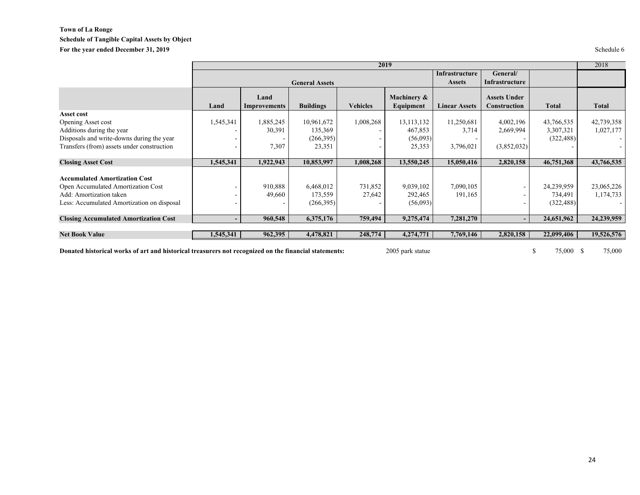# **Town of La Ronge**

# **Schedule of Tangible Capital Assets by Object**

For the year ended December 31, 2019 Schedule 6

|                                                                                                                                                     |           |                      |                                   | 2019              |                                  |                      |                                     |                                     | 2018                    |
|-----------------------------------------------------------------------------------------------------------------------------------------------------|-----------|----------------------|-----------------------------------|-------------------|----------------------------------|----------------------|-------------------------------------|-------------------------------------|-------------------------|
|                                                                                                                                                     |           |                      |                                   |                   |                                  | Infrastructure       | General/                            |                                     |                         |
|                                                                                                                                                     |           |                      | <b>General Assets</b>             |                   |                                  | <b>Assets</b>        | Infrastructure                      |                                     |                         |
|                                                                                                                                                     | Land      | Land<br>Improvements | <b>Buildings</b>                  | <b>Vehicles</b>   | Machinery &<br>Equipment         | <b>Linear Assets</b> | <b>Assets Under</b><br>Construction | <b>Total</b>                        | <b>Total</b>            |
| Asset cost                                                                                                                                          |           |                      |                                   |                   |                                  |                      |                                     |                                     |                         |
| Opening Asset cost                                                                                                                                  | 1,545,341 | 1,885,245            | 10,961,672                        | 1,008,268         | 13, 113, 132                     | 11,250,681           | 4,002,196                           | 43,766,535                          | 42,739,358              |
| Additions during the year                                                                                                                           |           | 30,391               | 135,369                           |                   | 467,853                          | 3,714                | 2,669,994                           | 3,307,321                           | 1,027,177               |
| Disposals and write-downs during the year                                                                                                           |           |                      | (266, 395)                        |                   | (56,093)                         |                      |                                     | (322, 488)                          |                         |
| Transfers (from) assets under construction                                                                                                          |           | 7,307                | 23,351                            |                   | 25,353                           | 3,796,021            | (3,852,032)                         |                                     |                         |
| <b>Closing Asset Cost</b>                                                                                                                           | 1,545,341 | 1,922,943            | 10,853,997                        | 1,008,268         | 13,550,245                       | 15,050,416           | 2,820,158                           | 46,751,368                          | 43,766,535              |
| <b>Accumulated Amortization Cost</b><br>Open Accumulated Amortization Cost<br>Add: Amortization taken<br>Less: Accumulated Amortization on disposal |           | 910,888<br>49,660    | 6,468,012<br>173,559<br>(266,395) | 731,852<br>27,642 | 9,039,102<br>292,465<br>(56,093) | 7,090,105<br>191,165 |                                     | 24,239,959<br>734,491<br>(322, 488) | 23,065,226<br>1,174,733 |
| <b>Closing Accumulated Amortization Cost</b>                                                                                                        | -         | 960,548              | 6,375,176                         | 759,494           | 9,275,474                        | 7,281,270            |                                     | 24,651,962                          | 24,239,959              |
| <b>Net Book Value</b>                                                                                                                               | 1,545,341 | 962,395              | 4,478,821                         | 248,774           | 4,274,771                        | 7,769,146            | 2,820,158                           | 22,099,406                          | 19,526,576              |

**Donated historical works of art and historical treasurers not recognized on the financial statements:** 2005 park statue 75,000 \$ 75,000 \$ 75,000 \$ 75,000 \$ 75,000 \$ 75,000 \$ 75,000 \$ 75,000 \$ 75,000 \$ 75,000 \$ 75,000 \$ 75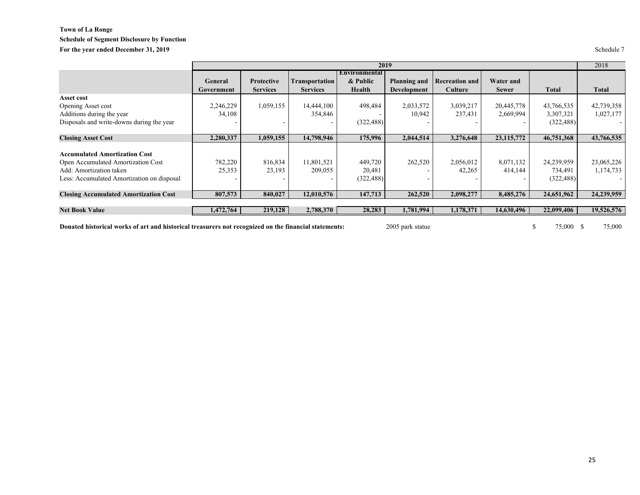## **Town of La Ronge Schedule of Segment Disclosure by Function** For the year ended December 31, 2019

| Schedule 7 |  |
|------------|--|
|            |  |

|                                                                                                                                                     |                       |                               |                                          | 2019                                |                                    |                                  |                                  |                                       | 2018                    |
|-----------------------------------------------------------------------------------------------------------------------------------------------------|-----------------------|-------------------------------|------------------------------------------|-------------------------------------|------------------------------------|----------------------------------|----------------------------------|---------------------------------------|-------------------------|
|                                                                                                                                                     | General<br>Government | Protective<br><b>Services</b> | <b>Transportation</b><br><b>Services</b> | Environmental<br>& Public<br>Health | Planning and<br><b>Development</b> | <b>Recreation and</b><br>Culture | <b>Water and</b><br><b>Sewer</b> | Total                                 | <b>Total</b>            |
| Asset cost<br>Opening Asset cost<br>Additions during the year<br>Disposals and write-downs during the year                                          | 2,246,229<br>34,108   | 1,059,155                     | 14,444,100<br>354,846                    | 498,484<br>(322, 488)               | 2,033,572<br>10,942                | 3,039,217<br>237,431             | 20,445,778<br>2,669,994          | 43,766,535<br>3,307,321<br>(322, 488) | 42,739,358<br>1,027,177 |
| <b>Closing Asset Cost</b>                                                                                                                           | 2,280,337             | 1,059,155                     | 14,798,946                               | 175,996                             | 2,044,514                          | 3,276,648                        | 23, 115, 772                     | 46,751,368                            | 43,766,535              |
| <b>Accumulated Amortization Cost</b><br>Open Accumulated Amortization Cost<br>Add: Amortization taken<br>Less: Accumulated Amortization on disposal | 782,220<br>25,353     | 816,834<br>23,193             | 11,801,521<br>209,055                    | 449,720<br>20,481<br>(322, 488)     | 262,520                            | 2,056,012<br>42,265              | 8,071,132<br>414,144             | 24,239,959<br>734,491<br>(322, 488)   | 23,065,226<br>1,174,733 |
| <b>Closing Accumulated Amortization Cost</b>                                                                                                        | 807,573               | 840,027                       | 12,010,576                               | 147,713                             | 262,520                            | 2,098,277                        | 8,485,276                        | 24,651,962                            | 24,239,959              |
| <b>Net Book Value</b>                                                                                                                               | 1,472,764             | 219,128                       | 2,788,370                                | 28,283                              | 1,781,994                          | 1,178,371                        | 14,630,496                       | 22,099,406                            | 19,526,576              |
| Donated historical works of art and historical treasurers not recognized on the financial statements:                                               |                       |                               |                                          |                                     | 2005 park statue                   |                                  |                                  | 75,000 \$                             | 75,000                  |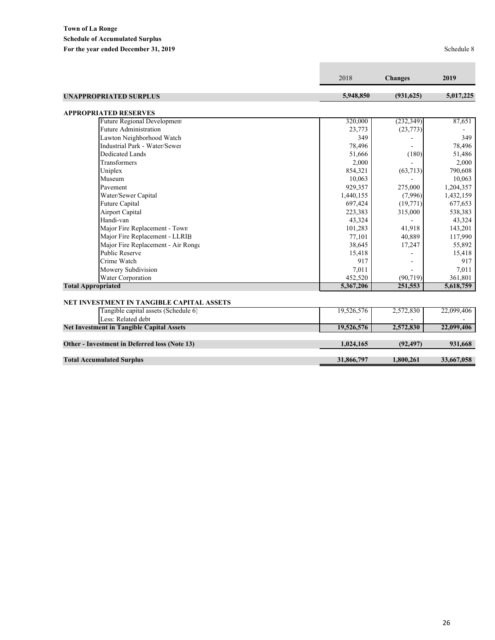|                                                  | 2018       | <b>Changes</b> | 2019       |
|--------------------------------------------------|------------|----------------|------------|
| <b>UNAPPROPRIATED SURPLUS</b>                    | 5,948,850  | (931, 625)     | 5,017,225  |
| <b>APPROPRIATED RESERVES</b>                     |            |                |            |
| <b>Future Regional Development</b>               | 320,000    | (232, 349)     | 87,651     |
| Future Administration                            | 23,773     | (23,773)       |            |
| Lawton Neighborhood Watch                        | 349        |                | 349        |
| Industrial Park - Water/Sewer                    | 78,496     |                | 78,496     |
| Dedicated Lands                                  | 51,666     | (180)          | 51,486     |
| Transformers                                     | 2,000      |                | 2,000      |
| Uniplex                                          | 854,321    | (63,713)       | 790,608    |
| Museum                                           | 10,063     |                | 10,063     |
| Pavement                                         | 929.357    | 275,000        | 1,204,357  |
| Water/Sewer Capital                              | 1,440,155  | (7,996)        | 1,432,159  |
| Future Capital                                   | 697,424    | (19,771)       | 677,653    |
| Airport Capital                                  | 223,383    | 315,000        | 538,383    |
| Handi-van                                        | 43,324     |                | 43,324     |
| Major Fire Replacement - Town                    | 101,283    | 41.918         | 143,201    |
| Major Fire Replacement - LLRIB                   | 77,101     | 40,889         | 117,990    |
| Major Fire Replacement - Air Ronge               | 38,645     | 17,247         | 55,892     |
| <b>Public Reserve</b>                            | 15,418     |                | 15,418     |
| Crime Watch                                      | 917        |                | 917        |
| Mowery Subdivision                               | 7,011      |                | 7,011      |
| Water Corporation                                | 452,520    | (90, 719)      | 361,801    |
| <b>Total Appropriated</b>                        | 5,367,206  | 251,553        | 5,618,759  |
| <b>NET INVESTMENT IN TANGIBLE CAPITAL ASSETS</b> |            |                |            |
| Tangible capital assets (Schedule 6)             | 19,526,576 | 2,572,830      | 22,099,406 |
| Less: Related debt                               |            |                |            |
| <b>Net Investment in Tangible Capital Assets</b> | 19,526,576 | 2,572,830      | 22,099,406 |
| Other - Investment in Deferred loss (Note 13)    | 1,024,165  | (92, 497)      | 931,668    |

**Total Accumulated Surplus 31,866,797 1,800,261 33,667,058**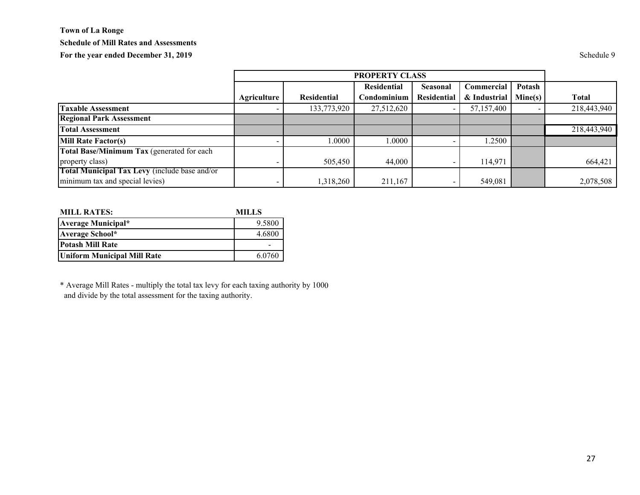# **Town of La Ronge Schedule of Mill Rates and Assessments** For the year ended December 31, 2019 Schedule 9

|                                               |             | <b>PROPERTY CLASS</b> |                    |                    |              |         |              |  |
|-----------------------------------------------|-------------|-----------------------|--------------------|--------------------|--------------|---------|--------------|--|
|                                               |             |                       | <b>Residential</b> | <b>Seasonal</b>    | Commercial   | Potash  |              |  |
|                                               | Agriculture | <b>Residential</b>    | Condominium        | <b>Residential</b> | & Industrial | Mine(s) | <b>Total</b> |  |
| <b>Taxable Assessment</b>                     |             | 133,773,920           | 27,512,620         |                    | 57,157,400   |         | 218,443,940  |  |
| <b>Regional Park Assessment</b>               |             |                       |                    |                    |              |         |              |  |
| <b>Total Assessment</b>                       |             |                       |                    |                    |              |         | 218,443,940  |  |
| <b>Mill Rate Factor(s)</b>                    |             | 0000.1                | 0000.              |                    | 1.2500       |         |              |  |
| Total Base/Minimum Tax (generated for each    |             |                       |                    |                    |              |         |              |  |
| property class)                               |             | 505,450               | 44,000             |                    | 114,971      |         | 664,421      |  |
| Total Municipal Tax Levy (include base and/or |             |                       |                    |                    |              |         |              |  |
| minimum tax and special levies)               |             | 1,318,260             | 211,167            |                    | 549,081      |         | 2.078.508    |  |

| <b>MILL RATES:</b>                 | <b>MILLS</b> |
|------------------------------------|--------------|
| <b>Average Municipal*</b>          | 9.5800       |
| <b>Average School*</b>             | 4.6800       |
| <b>Potash Mill Rate</b>            |              |
| <b>Uniform Municipal Mill Rate</b> | 6.0760       |

\* Average Mill Rates - multiply the total tax levy for each taxing authority by 1000 and divide by the total assessment for the taxing authority.

27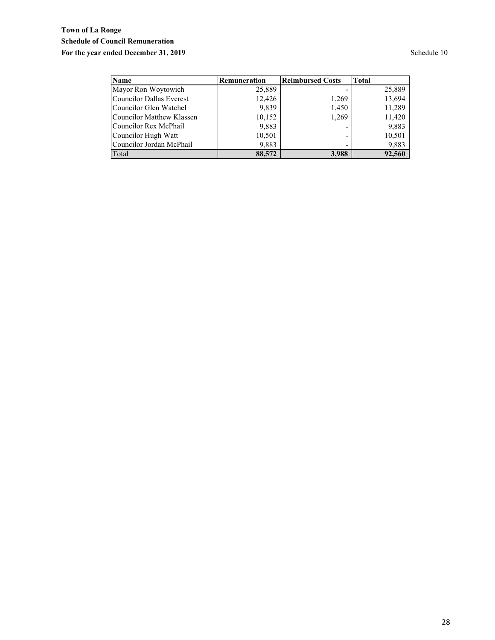# **Town of La Ronge Schedule of Council Remuneration** For the year ended December 31, 2019 Schedule 10

| <b>Name</b>                      | Remuneration | <b>Reimbursed Costs</b> | <b>Total</b> |
|----------------------------------|--------------|-------------------------|--------------|
| Mayor Ron Woytowich              | 25,889       |                         | 25,889       |
| <b>Councilor Dallas Everest</b>  | 12,426       | 1,269                   | 13,694       |
| Councilor Glen Watchel           | 9,839        | 1,450                   | 11,289       |
| <b>Councilor Matthew Klassen</b> | 10,152       | 1,269                   | 11,420       |
| Councilor Rex McPhail            | 9,883        |                         | 9,883        |
| Councilor Hugh Watt              | 10,501       |                         | 10,501       |
| Councilor Jordan McPhail         | 9,883        |                         | 9,883        |
| Total                            | 88,572       | 3.988                   | 92,560       |